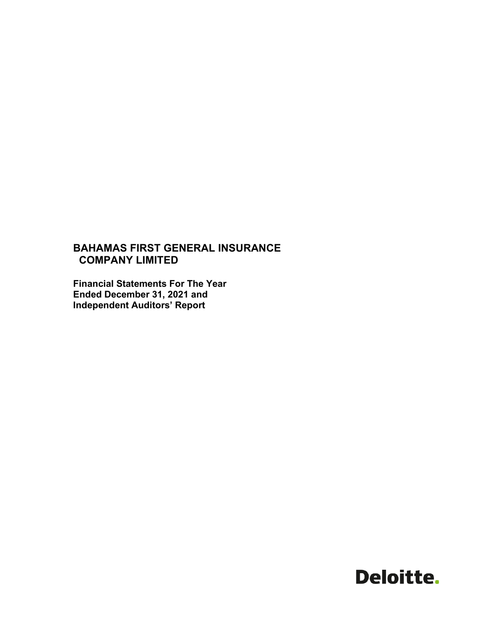**Financial Statements For The Year Ended December 31, 2021 and Independent Auditors' Report**

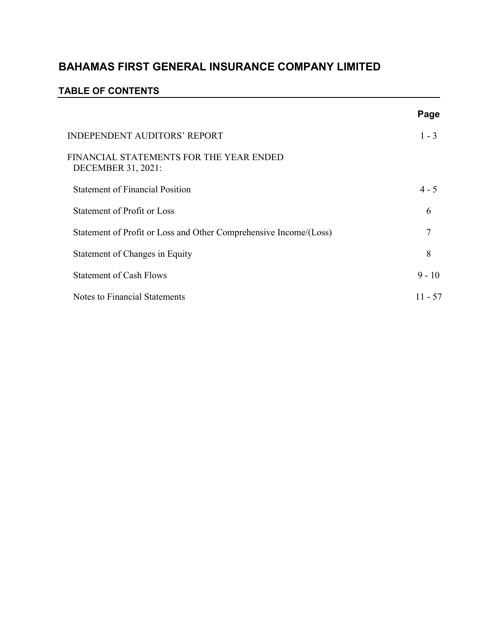### **TABLE OF CONTENTS**

|                                                                   | Page      |
|-------------------------------------------------------------------|-----------|
| <b>INDEPENDENT AUDITORS' REPORT</b>                               | $1 - 3$   |
| FINANCIAL STATEMENTS FOR THE YEAR ENDED<br>DECEMBER 31, 2021:     |           |
| <b>Statement of Financial Position</b>                            | $4 - 5$   |
| <b>Statement of Profit or Loss</b>                                | 6         |
| Statement of Profit or Loss and Other Comprehensive Income/(Loss) | 7         |
| Statement of Changes in Equity                                    | 8         |
| <b>Statement of Cash Flows</b>                                    | $9 - 10$  |
| Notes to Financial Statements                                     | $11 - 57$ |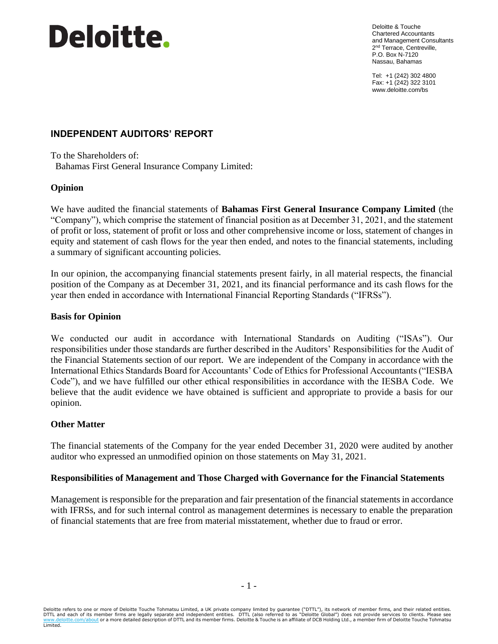# Deloitte.

Deloitte & Touche Chartered Accountants and Management Consultants 2<sup>nd</sup> Terrace, Centreville, P.O. Box N-7120 Nassau, Bahamas

Tel: +1 (242) 302 4800 Fax: +1 (242) 322 3101 www.deloitte.com/bs

### **INDEPENDENT AUDITORS' REPORT**

To the Shareholders of: Bahamas First General Insurance Company Limited:

### **Opinion**

We have audited the financial statements of **Bahamas First General Insurance Company Limited** (the "Company"), which comprise the statement of financial position as at December 31, 2021, and the statement of profit or loss, statement of profit or loss and other comprehensive income or loss, statement of changes in equity and statement of cash flows for the year then ended, and notes to the financial statements, including a summary of significant accounting policies.

In our opinion, the accompanying financial statements present fairly, in all material respects, the financial position of the Company as at December 31, 2021, and its financial performance and its cash flows for the year then ended in accordance with International Financial Reporting Standards ("IFRSs").

### **Basis for Opinion**

We conducted our audit in accordance with International Standards on Auditing ("ISAs"). Our responsibilities under those standards are further described in the Auditors' Responsibilities for the Audit of the Financial Statements section of our report. We are independent of the Company in accordance with the International Ethics Standards Board for Accountants' Code of Ethics for Professional Accountants ("IESBA Code"), and we have fulfilled our other ethical responsibilities in accordance with the IESBA Code. We believe that the audit evidence we have obtained is sufficient and appropriate to provide a basis for our opinion.

### **Other Matter**

The financial statements of the Company for the year ended December 31, 2020 were audited by another auditor who expressed an unmodified opinion on those statements on May 31, 2021.

#### **Responsibilities of Management and Those Charged with Governance for the Financial Statements**

Management is responsible for the preparation and fair presentation of the financial statements in accordance with IFRSs, and for such internal control as management determines is necessary to enable the preparation of financial statements that are free from material misstatement, whether due to fraud or error.

eloitte refers to one or more of Deloitte Touche Tohmatsu Limited, a UK private company limited by guarantee ("DTTL"), its network of member firms, and their related entities. DTTL and each of its member firms are legally separate and independent entities. DTTL (also referred to as "Deloitte Global") does not provide services to clients. Please see<br><u>[www.deloitte.com/about](http://www.deloitte.com/about)</u> or a more detailed des Limited.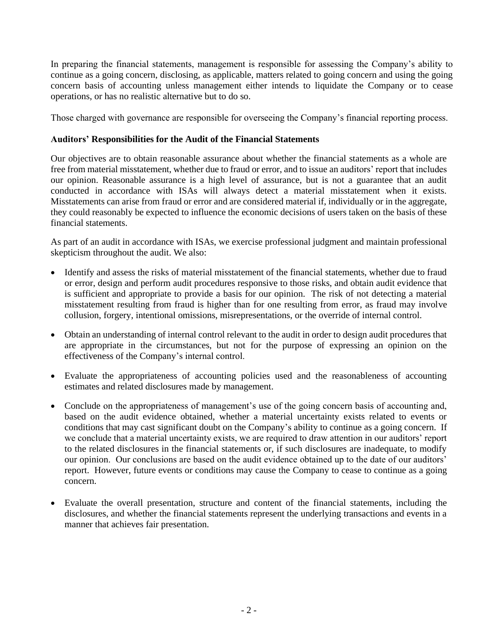In preparing the financial statements, management is responsible for assessing the Company's ability to continue as a going concern, disclosing, as applicable, matters related to going concern and using the going concern basis of accounting unless management either intends to liquidate the Company or to cease operations, or has no realistic alternative but to do so.

Those charged with governance are responsible for overseeing the Company's financial reporting process.

### **Auditors' Responsibilities for the Audit of the Financial Statements**

Our objectives are to obtain reasonable assurance about whether the financial statements as a whole are free from material misstatement, whether due to fraud or error, and to issue an auditors' report that includes our opinion. Reasonable assurance is a high level of assurance, but is not a guarantee that an audit conducted in accordance with ISAs will always detect a material misstatement when it exists. Misstatements can arise from fraud or error and are considered material if, individually or in the aggregate, they could reasonably be expected to influence the economic decisions of users taken on the basis of these financial statements.

As part of an audit in accordance with ISAs, we exercise professional judgment and maintain professional skepticism throughout the audit. We also:

- Identify and assess the risks of material misstatement of the financial statements, whether due to fraud or error, design and perform audit procedures responsive to those risks, and obtain audit evidence that is sufficient and appropriate to provide a basis for our opinion. The risk of not detecting a material misstatement resulting from fraud is higher than for one resulting from error, as fraud may involve collusion, forgery, intentional omissions, misrepresentations, or the override of internal control.
- Obtain an understanding of internal control relevant to the audit in order to design audit procedures that are appropriate in the circumstances, but not for the purpose of expressing an opinion on the effectiveness of the Company's internal control.
- Evaluate the appropriateness of accounting policies used and the reasonableness of accounting estimates and related disclosures made by management.
- Conclude on the appropriateness of management's use of the going concern basis of accounting and, based on the audit evidence obtained, whether a material uncertainty exists related to events or conditions that may cast significant doubt on the Company's ability to continue as a going concern. If we conclude that a material uncertainty exists, we are required to draw attention in our auditors' report to the related disclosures in the financial statements or, if such disclosures are inadequate, to modify our opinion. Our conclusions are based on the audit evidence obtained up to the date of our auditors' report. However, future events or conditions may cause the Company to cease to continue as a going concern.
- Evaluate the overall presentation, structure and content of the financial statements, including the disclosures, and whether the financial statements represent the underlying transactions and events in a manner that achieves fair presentation.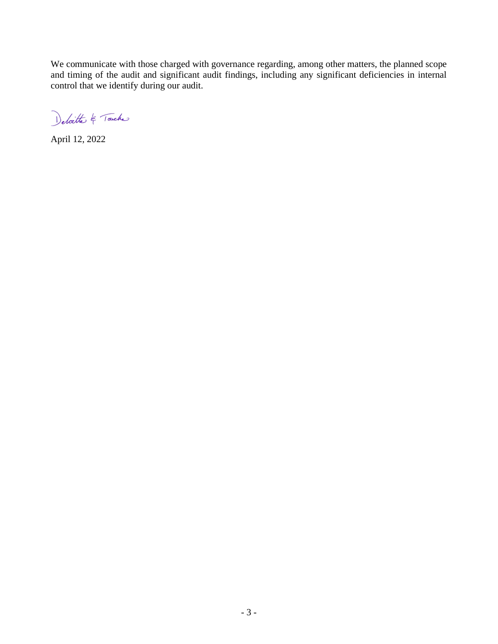We communicate with those charged with governance regarding, among other matters, the planned scope and timing of the audit and significant audit findings, including any significant deficiencies in internal control that we identify during our audit.

Delatte & Tackes

April 12, 2022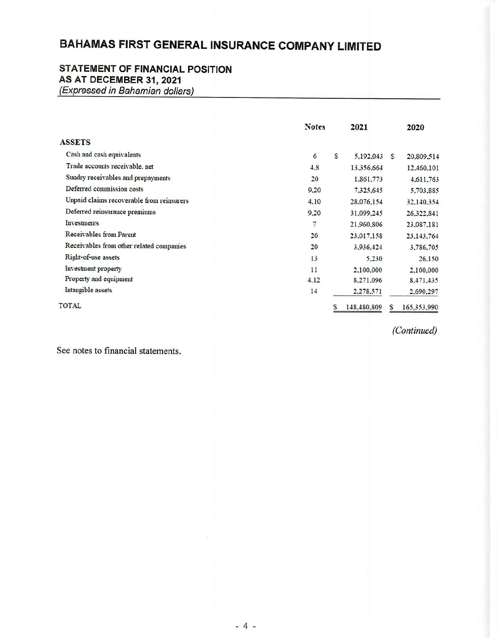# **STATEMENT OF FINANCIAL POSITION**

AS AT DECEMBER 31, 2021

(Expressed in Bahamian dollars)

|                                           | <b>Notes</b> | 2021        | 2020             |
|-------------------------------------------|--------------|-------------|------------------|
| <b>ASSETS</b>                             |              |             |                  |
| Cash and cash equivalents                 | S<br>6       | 5,192,043   | 20,809.514<br>S  |
| Trade accounts receivable, net            | 4.8          | 13.356.664  | 12,460,101       |
| Sundry receivables and prepayments        | 20           | 1.861.773   | 4,611,763        |
| Deferred commission costs                 | 9.20         | 7,325,645   | 5,703,885        |
| Unpaid claims recoverable from reinsurers | 4,10         | 28,076,154  | 32,140,354       |
| Deferred reinsurance premiums             | 9.20         | 31,099,245  | 26,322,841       |
| Investments                               | 7            | 21,960,806  | 23,087,181       |
| Receivables from Parent                   | 20           | 23,017,158  | 23, 143, 764     |
| Receivables from other related companies  | 20           | 3.936.424   | 3,786,705        |
| Right-of-use assets                       | 13           | 5.230       | 26.150           |
| Investment property                       | 11           | 2.100.000   | 2.100,000        |
| Property and equipment                    | 4.12         | 8.271.096   | 8,471,435        |
| Intangible assets                         | 14           | 2,278,571   | 2,690,297        |
| TOTAL                                     | S            | 148,480,809 | 165,353,990<br>s |

(Continued)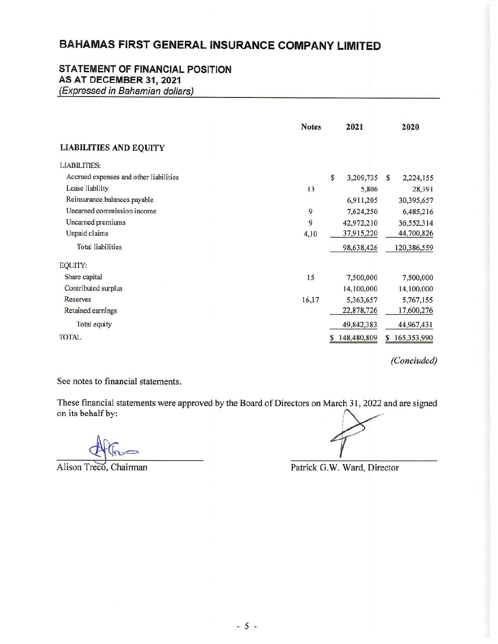### **STATEMENT OF FINANCIAL POSITION** AS AT DECEMBER 31, 2021

(Expressed in Bahamian dollars)

|                                        | <b>Notes</b> | 2021            | 2020              |
|----------------------------------------|--------------|-----------------|-------------------|
| <b>LIABILITIES AND EQUITY</b>          |              |                 |                   |
| <b>LIABILITIES:</b>                    |              |                 |                   |
| Accrued expenses and other liabilities |              | \$<br>3,209,735 | \$<br>2,224,155   |
| Lease liability                        | 13           | 5,806           | 28,391            |
| Reinsurance balances payable           |              | 6,911,205       | 30,395,657        |
| Unearned commission income             | 9            | 7,624,250       | 6,485,216         |
| Unearned premiums                      | 9            | 42,972,210      | 36,552,314        |
| Unpaid claims                          | 4,10         | 37,915,220      | 44,700,826        |
| <b>Total liabilities</b>               |              | 98,638,426      | 120,386,559       |
| EQUITY:                                |              |                 |                   |
| Share capital                          | 15           | 7,500,000       | 7,500,000         |
| Contributed surplus                    |              | 14,100,000      | 14,100,000        |
| Reserves                               | 16,17        | 5,363,657       | 5,767,155         |
| Retained earnings                      |              | 22,878,726      | 17,600,276        |
| Total equity                           |              | 49,842,383      | 44,967,431        |
| TOTAL                                  |              | 148,480,809     | 165,353,990<br>S. |

(Concluded)

See notes to financial statements.

These financial statements were approved by the Board of Directors on March 31, 2022 and are signed on its behalf by:

Alison Treco, Chairman

Patrick G.W. Ward, Director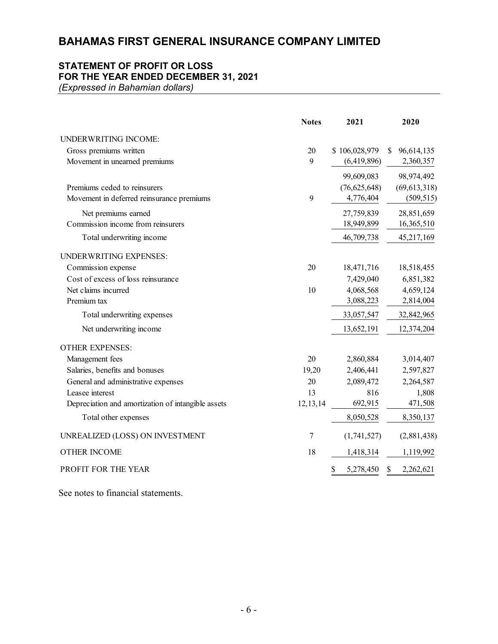### **STATEMENT OF PROFIT OR LOSS FOR THE YEAR ENDED DECEMBER 31, 2021**

*(Expressed in Bahamian dollars)*

|                                                    | <b>Notes</b> | 2021           | 2020             |
|----------------------------------------------------|--------------|----------------|------------------|
| UNDERWRITING INCOME:                               |              |                |                  |
| Gross premiums written                             | 20           | \$106,028,979  | 96,614,135<br>\$ |
| Movement in unearned premiums                      | 9            | (6,419,896)    | 2,360,357        |
|                                                    |              | 99,609,083     | 98,974,492       |
| Premiums ceded to reinsurers                       |              | (76,625,648)   | (69, 613, 318)   |
| Movement in deferred reinsurance premiums          | 9            | 4,776,404      | (509, 515)       |
| Net premiums earned                                |              | 27,759,839     | 28,851,659       |
| Commission income from reinsurers                  |              | 18,949,899     | 16,365,510       |
| Total underwriting income                          |              | 46,709,738     | 45,217,169       |
| UNDER WRITING EXPENSES:                            |              |                |                  |
| Commission expense                                 | 20           | 18,471,716     | 18,518,455       |
| Cost of excess of loss reinsurance                 |              | 7,429,040      | 6,851,382        |
| Net claims incurred                                | 10           | 4,068,568      | 4,659,124        |
| Premium tax                                        |              | 3,088,223      | 2,814,004        |
| Total underwriting expenses                        |              | 33,057,547     | 32,842,965       |
| Net underwriting income                            |              | 13,652,191     | 12,374,204       |
| <b>OTHER EXPENSES:</b>                             |              |                |                  |
| Management fees                                    | 20           | 2,860,884      | 3,014,407        |
| Salaries, benefits and bonuses                     | 19,20        | 2,406,441      | 2,597,827        |
| General and administrative expenses                | 20           | 2,089,472      | 2,264,587        |
| Leasee interest                                    | 13           | 816            | 1,808            |
| Depreciation and amortization of intangible assets | 12,13,14     | 692,915        | 471,508          |
| Total other expenses                               |              | 8,050,528      | 8,350,137        |
| UNREALIZED (LOSS) ON INVESTMENT                    | 7            | (1,741,527)    | (2,881,438)      |
| <b>OTHER INCOME</b>                                | 18           | 1,418,314      | 1,119,992        |
| PROFIT FOR THE YEAR                                |              | 5,278,450<br>S | 2,262,621<br>S.  |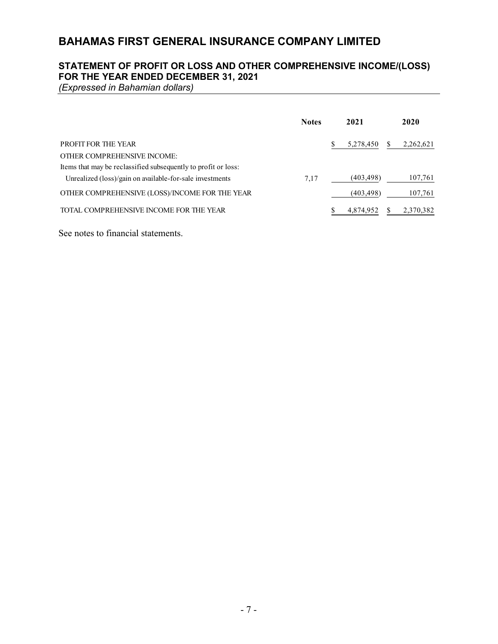### **STATEMENT OF PROFIT OR LOSS AND OTHER COMPREHENSIVE INCOME/(LOSS) FOR THE YEAR ENDED DECEMBER 31, 2021**

*(Expressed in Bahamian dollars)*

|                                                                | <b>Notes</b> |   | 2021      |   | 2020      |
|----------------------------------------------------------------|--------------|---|-----------|---|-----------|
| PROFIT FOR THE YEAR                                            |              | S | 5,278,450 | S | 2,262,621 |
| OTHER COMPREHENSIVE INCOME:                                    |              |   |           |   |           |
| Items that may be reclassified subsequently to profit or loss: |              |   |           |   |           |
| Unrealized (loss)/gain on available-for-sale investments       | 7.17         |   | (403,498) |   | 107,761   |
| OTHER COMPREHENSIVE (LOSS)/INCOME FOR THE YEAR                 |              |   | (403,498) |   | 107,761   |
| TOTAL COMPREHENSIVE INCOME FOR THE YEAR                        |              |   | 4,874,952 |   | 2,370,382 |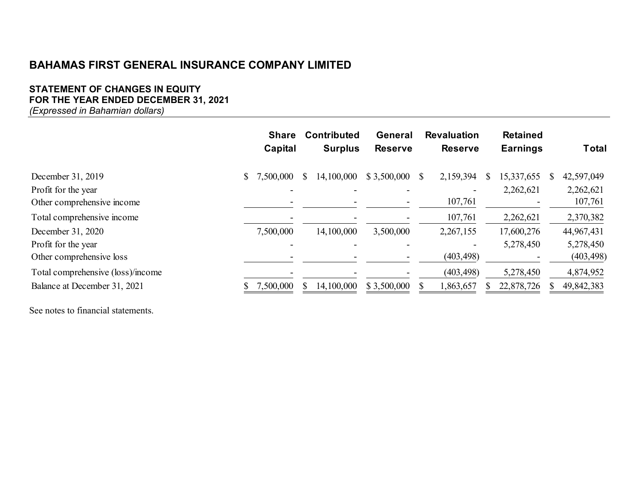### **STATEMENT OF CHANGES IN EQUITY FOR THE YEAR ENDED DECEMBER 31, 2021**

*(Expressed in Bahamian dollars)*

|                                   |    | <b>Share</b><br>Capital  |    | <b>Contributed</b><br><b>Surplus</b> | General<br><b>Reserve</b> | <b>Revaluation</b><br><b>Reserve</b> |   | <b>Retained</b><br><b>Earnings</b> |    | <b>Total</b> |
|-----------------------------------|----|--------------------------|----|--------------------------------------|---------------------------|--------------------------------------|---|------------------------------------|----|--------------|
| December 31, 2019                 | \$ | 7,500,000                | S. | 14,100,000                           | $$3,500,000$ \$           | 2,159,394                            | S | 15,337,655                         | -S | 42,597,049   |
| Profit for the year               |    |                          |    |                                      |                           |                                      |   | 2,262,621                          |    | 2,262,621    |
| Other comprehensive income        |    |                          |    |                                      |                           | 107,761                              |   |                                    |    | 107,761      |
| Total comprehensive income        |    |                          |    |                                      |                           | 107,761                              |   | 2,262,621                          |    | 2,370,382    |
| December 31, 2020                 |    | 7,500,000                |    | 14,100,000                           | 3,500,000                 | 2,267,155                            |   | 17,600,276                         |    | 44,967,431   |
| Profit for the year               |    | $\overline{\phantom{0}}$ |    |                                      |                           |                                      |   | 5,278,450                          |    | 5,278,450    |
| Other comprehensive loss          |    |                          |    |                                      |                           | (403, 498)                           |   |                                    |    | (403, 498)   |
| Total comprehensive (loss)/income |    |                          |    |                                      |                           | (403, 498)                           |   | 5,278,450                          |    | 4,874,952    |
| Balance at December 31, 2021      |    | 7,500,000                |    | 14,100,000                           | \$3,500,000               | 1,863,657                            |   | 22,878,726                         |    | 49,842,383   |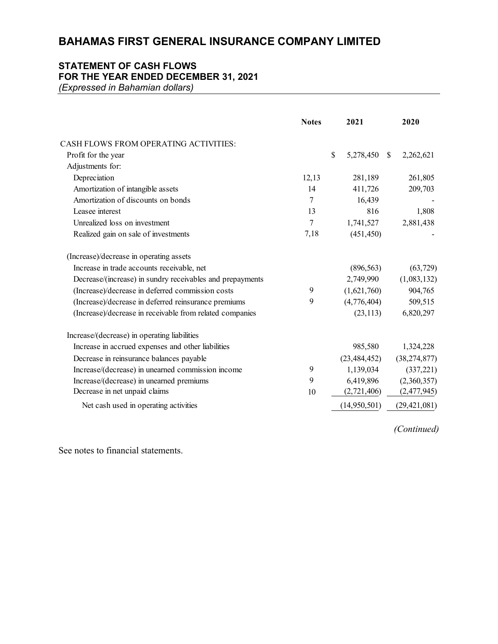### **STATEMENT OF CASH FLOWS FOR THE YEAR ENDED DECEMBER 31, 2021**  *(Expressed in Bahamian dollars)*

|                                                           | <b>Notes</b> | 2021            | 2020                       |
|-----------------------------------------------------------|--------------|-----------------|----------------------------|
| CASH FLOWS FROM OPERATING ACTIVITIES:                     |              |                 |                            |
| Profit for the year                                       |              | \$<br>5,278,450 | 2,262,621<br><sup>\$</sup> |
| Adjustments for:                                          |              |                 |                            |
| Depreciation                                              | 12,13        | 281,189         | 261,805                    |
| Amortization of intangible assets                         | 14           | 411,726         | 209,703                    |
| Amortization of discounts on bonds                        | 7            | 16,439          |                            |
| Leasee interest                                           | 13           | 816             | 1,808                      |
| Unrealized loss on investment                             | $\tau$       | 1,741,527       | 2,881,438                  |
| Realized gain on sale of investments                      | 7,18         | (451, 450)      |                            |
| (Increase)/decrease in operating assets                   |              |                 |                            |
| Increase in trade accounts receivable, net                |              | (896, 563)      | (63, 729)                  |
| Decrease/(increase) in sundry receivables and prepayments |              | 2,749,990       | (1,083,132)                |
| (Increase)/decrease in deferred commission costs          | 9            | (1,621,760)     | 904,765                    |
| (Increase)/decrease in deferred reinsurance premiums      | 9            | (4,776,404)     | 509,515                    |
| (Increase)/decrease in receivable from related companies  |              | (23, 113)       | 6,820,297                  |
| Increase/(decrease) in operating liabilities              |              |                 |                            |
| Increase in accrued expenses and other liabilities        |              | 985,580         | 1,324,228                  |
| Decrease in reinsurance balances payable                  |              | (23, 484, 452)  | (38, 274, 877)             |
| Increase/(decrease) in unearned commission income         | 9            | 1,139,034       | (337, 221)                 |
| Increase/(decrease) in unearned premiums                  | 9            | 6,419,896       | (2,360,357)                |
| Decrease in net unpaid claims                             | 10           | (2,721,406)     | (2,477,945)                |
| Net cash used in operating activities                     |              | (14,950,501)    | (29, 421, 081)             |

*(Continued)*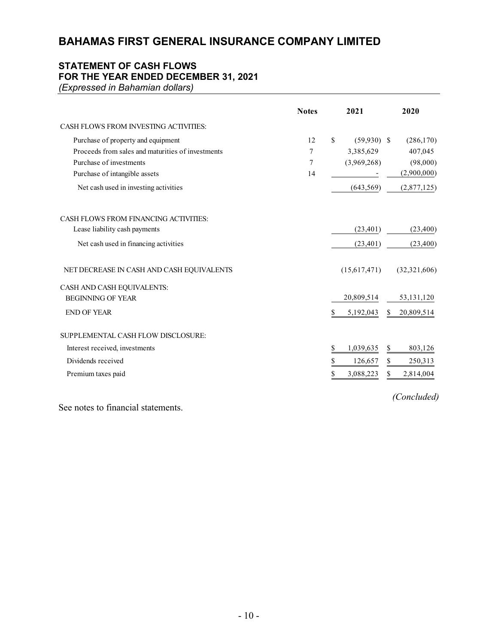### **STATEMENT OF CASH FLOWS FOR THE YEAR ENDED DECEMBER 31, 2021**  *(Expressed in Bahamian dollars)*

**Notes 2021 2020** CASH FLOWS FROM INVESTING ACTIVITIES: Purchase of property and equipment 12 \$ (59,930) \$ (286,170) Proceeds from sales and maturities of investments 7 3,385,629 407,045 Purchase of investments (98,000) (98,000) (98,000) Purchase of intangible assets 14 - (2,900,000) Net cash used in investing activities (643,569) (2,877,125) CASH FLOWS FROM FINANCING ACTIVITIES: Lease liability cash payments (23,401) (23,400) Net cash used in financing activities (23,401) (23,400) NET DECREASE IN CASH AND CASH EQUIVALENTS (15,617,471) (32,321,606) CASH AND CASH EQUIVALENTS: BEGINNING OF YEAR 20,809,514 53,131,120 END OF YEAR \$ 5,192,043 \$ 20,809,514 SUPPLEMENTAL CASH FLOW DISCLOSURE: Interest received, investments  $\qquad \qquad$  1,039,635 \$ 803,126 Dividends received **\$** 126,657 \$ 250,313 Premium taxes paid  $\frac{1}{2}$  8 3,088,223 \$ 2,814,004

See notes to financial statements.

*(Concluded)*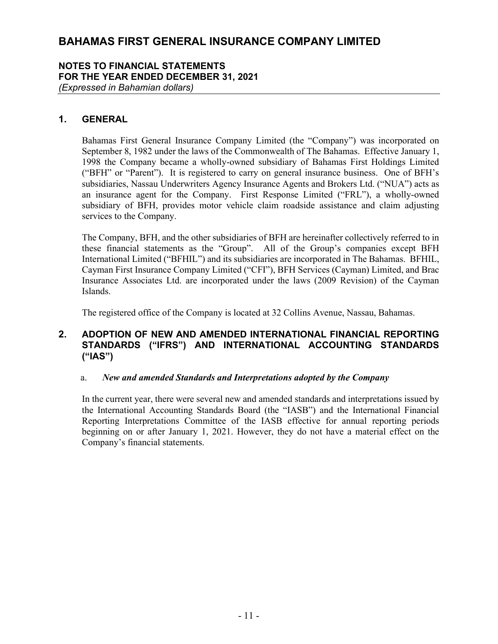#### **NOTES TO FINANCIAL STATEMENTS FOR THE YEAR ENDED DECEMBER 31, 2021**  *(Expressed in Bahamian dollars)*

### **1. GENERAL**

Bahamas First General Insurance Company Limited (the "Company") was incorporated on September 8, 1982 under the laws of the Commonwealth of The Bahamas. Effective January 1, 1998 the Company became a wholly-owned subsidiary of Bahamas First Holdings Limited ("BFH" or "Parent"). It is registered to carry on general insurance business. One of BFH's subsidiaries, Nassau Underwriters Agency Insurance Agents and Brokers Ltd. ("NUA") acts as an insurance agent for the Company. First Response Limited ("FRL"), a wholly-owned subsidiary of BFH, provides motor vehicle claim roadside assistance and claim adjusting services to the Company.

The Company, BFH, and the other subsidiaries of BFH are hereinafter collectively referred to in these financial statements as the "Group". All of the Group's companies except BFH International Limited ("BFHIL") and its subsidiaries are incorporated in The Bahamas. BFHIL, Cayman First Insurance Company Limited ("CFI"), BFH Services (Cayman) Limited, and Brac Insurance Associates Ltd. are incorporated under the laws (2009 Revision) of the Cayman Islands.

The registered office of the Company is located at 32 Collins Avenue, Nassau, Bahamas.

### **2. ADOPTION OF NEW AND AMENDED INTERNATIONAL FINANCIAL REPORTING STANDARDS ("IFRS") AND INTERNATIONAL ACCOUNTING STANDARDS ("IAS")**

#### a. *New and amended Standards and Interpretations adopted by the Company*

In the current year, there were several new and amended standards and interpretations issued by the International Accounting Standards Board (the "IASB") and the International Financial Reporting Interpretations Committee of the IASB effective for annual reporting periods beginning on or after January 1, 2021. However, they do not have a material effect on the Company's financial statements.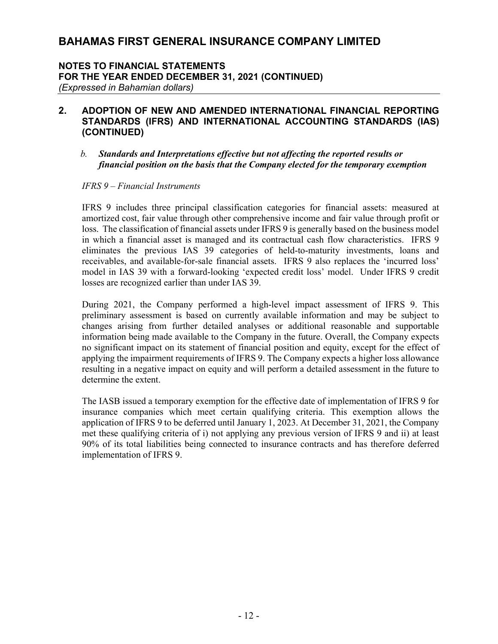### **NOTES TO FINANCIAL STATEMENTS FOR THE YEAR ENDED DECEMBER 31, 2021 (CONTINUED)** *(Expressed in Bahamian dollars)*

### **2. ADOPTION OF NEW AND AMENDED INTERNATIONAL FINANCIAL REPORTING STANDARDS (IFRS) AND INTERNATIONAL ACCOUNTING STANDARDS (IAS) (CONTINUED)**

### *b. Standards and Interpretations effective but not affecting the reported results or financial position on the basis that the Company elected for the temporary exemption*

#### *IFRS 9 – Financial Instruments*

IFRS 9 includes three principal classification categories for financial assets: measured at amortized cost, fair value through other comprehensive income and fair value through profit or loss. The classification of financial assets under IFRS 9 is generally based on the business model in which a financial asset is managed and its contractual cash flow characteristics. IFRS 9 eliminates the previous IAS 39 categories of held-to-maturity investments, loans and receivables, and available-for-sale financial assets. IFRS 9 also replaces the 'incurred loss' model in IAS 39 with a forward-looking 'expected credit loss' model. Under IFRS 9 credit losses are recognized earlier than under IAS 39.

During 2021, the Company performed a high-level impact assessment of IFRS 9. This preliminary assessment is based on currently available information and may be subject to changes arising from further detailed analyses or additional reasonable and supportable information being made available to the Company in the future. Overall, the Company expects no significant impact on its statement of financial position and equity, except for the effect of applying the impairment requirements of IFRS 9. The Company expects a higher loss allowance resulting in a negative impact on equity and will perform a detailed assessment in the future to determine the extent.

The IASB issued a temporary exemption for the effective date of implementation of IFRS 9 for insurance companies which meet certain qualifying criteria. This exemption allows the application of IFRS 9 to be deferred until January 1, 2023. At December 31, 2021, the Company met these qualifying criteria of i) not applying any previous version of IFRS 9 and ii) at least 90% of its total liabilities being connected to insurance contracts and has therefore deferred implementation of IFRS 9.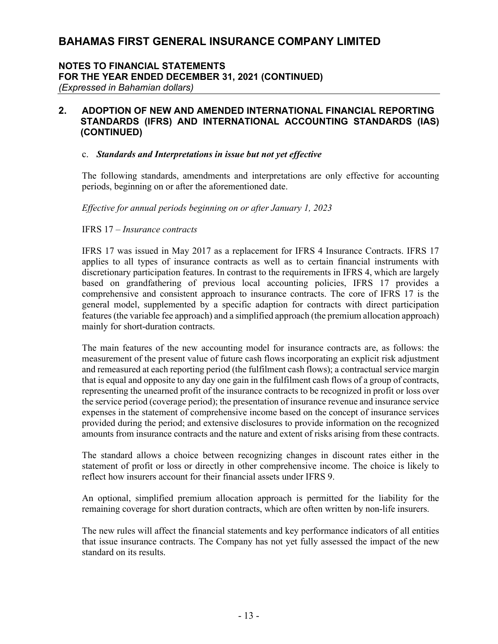### **NOTES TO FINANCIAL STATEMENTS FOR THE YEAR ENDED DECEMBER 31, 2021 (CONTINUED)** *(Expressed in Bahamian dollars)*

### **2. ADOPTION OF NEW AND AMENDED INTERNATIONAL FINANCIAL REPORTING STANDARDS (IFRS) AND INTERNATIONAL ACCOUNTING STANDARDS (IAS) (CONTINUED)**

#### c. *Standards and Interpretations in issue but not yet effective*

The following standards, amendments and interpretations are only effective for accounting periods, beginning on or after the aforementioned date.

*Effective for annual periods beginning on or after January 1, 2023* 

#### IFRS 17 – *Insurance contracts*

IFRS 17 was issued in May 2017 as a replacement for IFRS 4 Insurance Contracts. IFRS 17 applies to all types of insurance contracts as well as to certain financial instruments with discretionary participation features. In contrast to the requirements in IFRS 4, which are largely based on grandfathering of previous local accounting policies, IFRS 17 provides a comprehensive and consistent approach to insurance contracts. The core of IFRS 17 is the general model, supplemented by a specific adaption for contracts with direct participation features (the variable fee approach) and a simplified approach (the premium allocation approach) mainly for short-duration contracts.

The main features of the new accounting model for insurance contracts are, as follows: the measurement of the present value of future cash flows incorporating an explicit risk adjustment and remeasured at each reporting period (the fulfilment cash flows); a contractual service margin that is equal and opposite to any day one gain in the fulfilment cash flows of a group of contracts, representing the unearned profit of the insurance contracts to be recognized in profit or loss over the service period (coverage period); the presentation of insurance revenue and insurance service expenses in the statement of comprehensive income based on the concept of insurance services provided during the period; and extensive disclosures to provide information on the recognized amounts from insurance contracts and the nature and extent of risks arising from these contracts.

The standard allows a choice between recognizing changes in discount rates either in the statement of profit or loss or directly in other comprehensive income. The choice is likely to reflect how insurers account for their financial assets under IFRS 9.

An optional, simplified premium allocation approach is permitted for the liability for the remaining coverage for short duration contracts, which are often written by non-life insurers.

The new rules will affect the financial statements and key performance indicators of all entities that issue insurance contracts. The Company has not yet fully assessed the impact of the new standard on its results.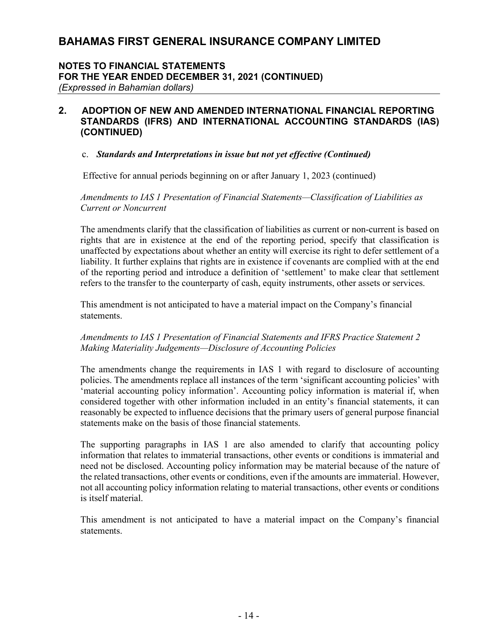### **NOTES TO FINANCIAL STATEMENTS FOR THE YEAR ENDED DECEMBER 31, 2021 (CONTINUED)** *(Expressed in Bahamian dollars)*

### **2. ADOPTION OF NEW AND AMENDED INTERNATIONAL FINANCIAL REPORTING STANDARDS (IFRS) AND INTERNATIONAL ACCOUNTING STANDARDS (IAS) (CONTINUED)**

#### c. *Standards and Interpretations in issue but not yet effective (Continued)*

Effective for annual periods beginning on or after January 1, 2023 (continued)

*Amendments to IAS 1 Presentation of Financial Statements—Classification of Liabilities as Current or Noncurrent* 

The amendments clarify that the classification of liabilities as current or non-current is based on rights that are in existence at the end of the reporting period, specify that classification is unaffected by expectations about whether an entity will exercise its right to defer settlement of a liability. It further explains that rights are in existence if covenants are complied with at the end of the reporting period and introduce a definition of 'settlement' to make clear that settlement refers to the transfer to the counterparty of cash, equity instruments, other assets or services.

This amendment is not anticipated to have a material impact on the Company's financial statements.

### *Amendments to IAS 1 Presentation of Financial Statements and IFRS Practice Statement 2 Making Materiality Judgements—Disclosure of Accounting Policies*

The amendments change the requirements in IAS 1 with regard to disclosure of accounting policies. The amendments replace all instances of the term 'significant accounting policies' with 'material accounting policy information'. Accounting policy information is material if, when considered together with other information included in an entity's financial statements, it can reasonably be expected to influence decisions that the primary users of general purpose financial statements make on the basis of those financial statements.

The supporting paragraphs in IAS 1 are also amended to clarify that accounting policy information that relates to immaterial transactions, other events or conditions is immaterial and need not be disclosed. Accounting policy information may be material because of the nature of the related transactions, other events or conditions, even if the amounts are immaterial. However, not all accounting policy information relating to material transactions, other events or conditions is itself material.

This amendment is not anticipated to have a material impact on the Company's financial statements.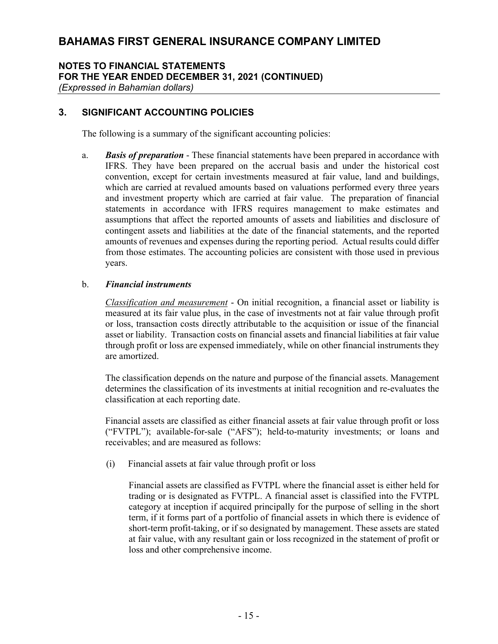### **NOTES TO FINANCIAL STATEMENTS FOR THE YEAR ENDED DECEMBER 31, 2021 (CONTINUED)** *(Expressed in Bahamian dollars)*

### **3. SIGNIFICANT ACCOUNTING POLICIES**

The following is a summary of the significant accounting policies:

a. *Basis of preparation* - These financial statements have been prepared in accordance with IFRS. They have been prepared on the accrual basis and under the historical cost convention, except for certain investments measured at fair value, land and buildings, which are carried at revalued amounts based on valuations performed every three years and investment property which are carried at fair value. The preparation of financial statements in accordance with IFRS requires management to make estimates and assumptions that affect the reported amounts of assets and liabilities and disclosure of contingent assets and liabilities at the date of the financial statements, and the reported amounts of revenues and expenses during the reporting period. Actual results could differ from those estimates. The accounting policies are consistent with those used in previous years.

#### b. *Financial instruments*

*Classification and measurement* - On initial recognition, a financial asset or liability is measured at its fair value plus, in the case of investments not at fair value through profit or loss, transaction costs directly attributable to the acquisition or issue of the financial asset or liability. Transaction costs on financial assets and financial liabilities at fair value through profit or loss are expensed immediately, while on other financial instruments they are amortized.

The classification depends on the nature and purpose of the financial assets. Management determines the classification of its investments at initial recognition and re-evaluates the classification at each reporting date.

Financial assets are classified as either financial assets at fair value through profit or loss ("FVTPL"); available-for-sale ("AFS"); held-to-maturity investments; or loans and receivables; and are measured as follows:

(i) Financial assets at fair value through profit or loss

Financial assets are classified as FVTPL where the financial asset is either held for trading or is designated as FVTPL. A financial asset is classified into the FVTPL category at inception if acquired principally for the purpose of selling in the short term, if it forms part of a portfolio of financial assets in which there is evidence of short-term profit-taking, or if so designated by management. These assets are stated at fair value, with any resultant gain or loss recognized in the statement of profit or loss and other comprehensive income.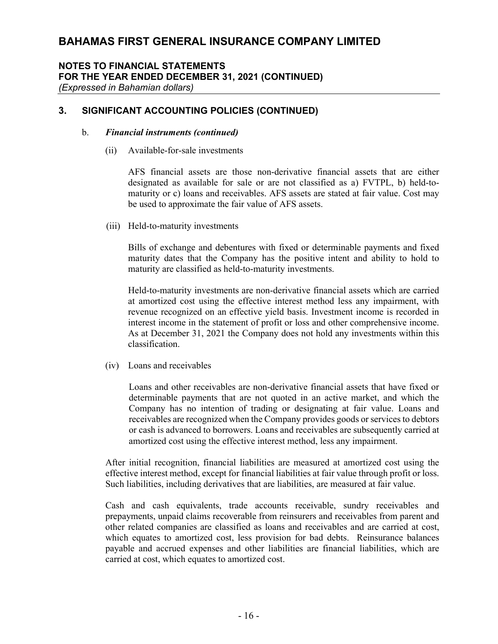### **NOTES TO FINANCIAL STATEMENTS FOR THE YEAR ENDED DECEMBER 31, 2021 (CONTINUED)** *(Expressed in Bahamian dollars)*

### **3. SIGNIFICANT ACCOUNTING POLICIES (CONTINUED)**

#### b. *Financial instruments (continued)*

(ii) Available-for-sale investments

AFS financial assets are those non-derivative financial assets that are either designated as available for sale or are not classified as a) FVTPL, b) held-tomaturity or c) loans and receivables. AFS assets are stated at fair value. Cost may be used to approximate the fair value of AFS assets.

(iii) Held-to-maturity investments

Bills of exchange and debentures with fixed or determinable payments and fixed maturity dates that the Company has the positive intent and ability to hold to maturity are classified as held-to-maturity investments.

Held-to-maturity investments are non-derivative financial assets which are carried at amortized cost using the effective interest method less any impairment, with revenue recognized on an effective yield basis. Investment income is recorded in interest income in the statement of profit or loss and other comprehensive income. As at December 31, 2021 the Company does not hold any investments within this classification.

(iv) Loans and receivables

Loans and other receivables are non-derivative financial assets that have fixed or determinable payments that are not quoted in an active market, and which the Company has no intention of trading or designating at fair value. Loans and receivables are recognized when the Company provides goods or services to debtors or cash is advanced to borrowers. Loans and receivables are subsequently carried at amortized cost using the effective interest method, less any impairment.

After initial recognition, financial liabilities are measured at amortized cost using the effective interest method, except for financial liabilities at fair value through profit or loss. Such liabilities, including derivatives that are liabilities, are measured at fair value.

Cash and cash equivalents, trade accounts receivable, sundry receivables and prepayments, unpaid claims recoverable from reinsurers and receivables from parent and other related companies are classified as loans and receivables and are carried at cost, which equates to amortized cost, less provision for bad debts. Reinsurance balances payable and accrued expenses and other liabilities are financial liabilities, which are carried at cost, which equates to amortized cost.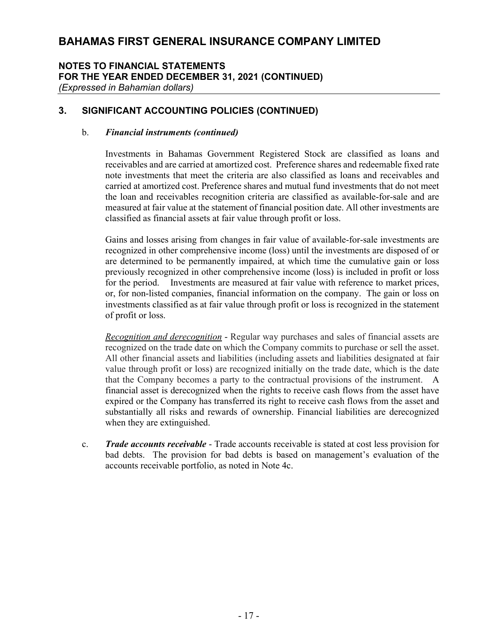### **NOTES TO FINANCIAL STATEMENTS FOR THE YEAR ENDED DECEMBER 31, 2021 (CONTINUED)** *(Expressed in Bahamian dollars)*

### **3. SIGNIFICANT ACCOUNTING POLICIES (CONTINUED)**

#### b. *Financial instruments (continued)*

Investments in Bahamas Government Registered Stock are classified as loans and receivables and are carried at amortized cost. Preference shares and redeemable fixed rate note investments that meet the criteria are also classified as loans and receivables and carried at amortized cost. Preference shares and mutual fund investments that do not meet the loan and receivables recognition criteria are classified as available-for-sale and are measured at fair value at the statement of financial position date. All other investments are classified as financial assets at fair value through profit or loss.

Gains and losses arising from changes in fair value of available-for-sale investments are recognized in other comprehensive income (loss) until the investments are disposed of or are determined to be permanently impaired, at which time the cumulative gain or loss previously recognized in other comprehensive income (loss) is included in profit or loss for the period. Investments are measured at fair value with reference to market prices, or, for non-listed companies, financial information on the company. The gain or loss on investments classified as at fair value through profit or loss is recognized in the statement of profit or loss.

*Recognition and derecognition* - Regular way purchases and sales of financial assets are recognized on the trade date on which the Company commits to purchase or sell the asset. All other financial assets and liabilities (including assets and liabilities designated at fair value through profit or loss) are recognized initially on the trade date, which is the date that the Company becomes a party to the contractual provisions of the instrument. A financial asset is derecognized when the rights to receive cash flows from the asset have expired or the Company has transferred its right to receive cash flows from the asset and substantially all risks and rewards of ownership. Financial liabilities are derecognized when they are extinguished.

c. *Trade accounts receivable* - Trade accounts receivable is stated at cost less provision for bad debts. The provision for bad debts is based on management's evaluation of the accounts receivable portfolio, as noted in Note 4c.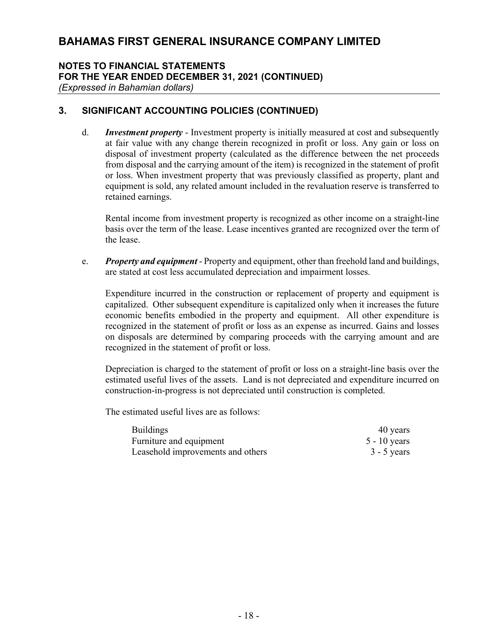### **NOTES TO FINANCIAL STATEMENTS FOR THE YEAR ENDED DECEMBER 31, 2021 (CONTINUED)** *(Expressed in Bahamian dollars)*

### **3. SIGNIFICANT ACCOUNTING POLICIES (CONTINUED)**

d. *Investment property* - Investment property is initially measured at cost and subsequently at fair value with any change therein recognized in profit or loss. Any gain or loss on disposal of investment property (calculated as the difference between the net proceeds from disposal and the carrying amount of the item) is recognized in the statement of profit or loss. When investment property that was previously classified as property, plant and equipment is sold, any related amount included in the revaluation reserve is transferred to retained earnings.

Rental income from investment property is recognized as other income on a straight-line basis over the term of the lease. Lease incentives granted are recognized over the term of the lease.

e. *Property and equipment* - Property and equipment, other than freehold land and buildings, are stated at cost less accumulated depreciation and impairment losses.

Expenditure incurred in the construction or replacement of property and equipment is capitalized. Other subsequent expenditure is capitalized only when it increases the future economic benefits embodied in the property and equipment. All other expenditure is recognized in the statement of profit or loss as an expense as incurred. Gains and losses on disposals are determined by comparing proceeds with the carrying amount and are recognized in the statement of profit or loss.

Depreciation is charged to the statement of profit or loss on a straight-line basis over the estimated useful lives of the assets. Land is not depreciated and expenditure incurred on construction-in-progress is not depreciated until construction is completed.

The estimated useful lives are as follows:

| <b>Buildings</b>                  | 40 years       |
|-----------------------------------|----------------|
| Furniture and equipment           | $5 - 10$ years |
| Leasehold improvements and others | $3 - 5$ years  |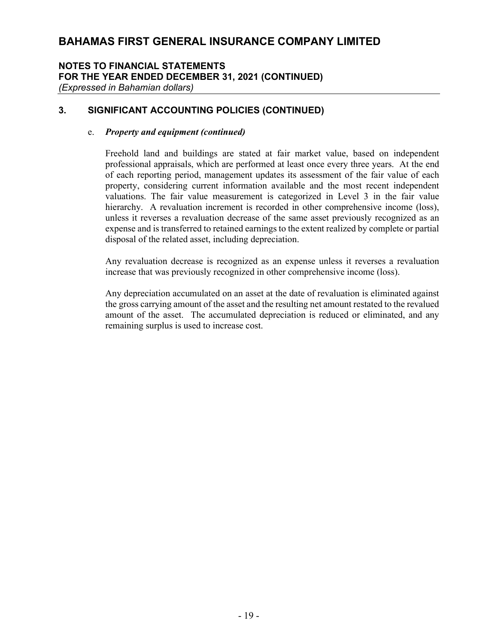### **NOTES TO FINANCIAL STATEMENTS FOR THE YEAR ENDED DECEMBER 31, 2021 (CONTINUED)** *(Expressed in Bahamian dollars)*

### **3. SIGNIFICANT ACCOUNTING POLICIES (CONTINUED)**

#### e. *Property and equipment (continued)*

Freehold land and buildings are stated at fair market value, based on independent professional appraisals, which are performed at least once every three years. At the end of each reporting period, management updates its assessment of the fair value of each property, considering current information available and the most recent independent valuations. The fair value measurement is categorized in Level 3 in the fair value hierarchy. A revaluation increment is recorded in other comprehensive income (loss), unless it reverses a revaluation decrease of the same asset previously recognized as an expense and is transferred to retained earnings to the extent realized by complete or partial disposal of the related asset, including depreciation.

Any revaluation decrease is recognized as an expense unless it reverses a revaluation increase that was previously recognized in other comprehensive income (loss).

Any depreciation accumulated on an asset at the date of revaluation is eliminated against the gross carrying amount of the asset and the resulting net amount restated to the revalued amount of the asset. The accumulated depreciation is reduced or eliminated, and any remaining surplus is used to increase cost.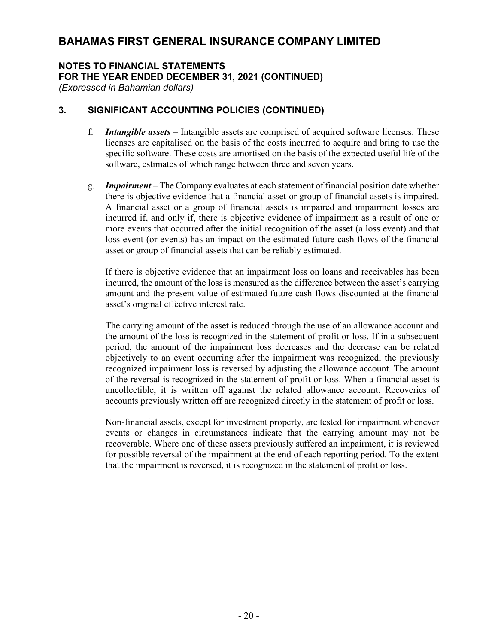### **NOTES TO FINANCIAL STATEMENTS FOR THE YEAR ENDED DECEMBER 31, 2021 (CONTINUED)** *(Expressed in Bahamian dollars)*

### **3. SIGNIFICANT ACCOUNTING POLICIES (CONTINUED)**

- f. *Intangible assets* Intangible assets are comprised of acquired software licenses. These licenses are capitalised on the basis of the costs incurred to acquire and bring to use the specific software. These costs are amortised on the basis of the expected useful life of the software, estimates of which range between three and seven years.
- g. *Impairment* The Company evaluates at each statement of financial position date whether there is objective evidence that a financial asset or group of financial assets is impaired. A financial asset or a group of financial assets is impaired and impairment losses are incurred if, and only if, there is objective evidence of impairment as a result of one or more events that occurred after the initial recognition of the asset (a loss event) and that loss event (or events) has an impact on the estimated future cash flows of the financial asset or group of financial assets that can be reliably estimated.

If there is objective evidence that an impairment loss on loans and receivables has been incurred, the amount of the loss is measured as the difference between the asset's carrying amount and the present value of estimated future cash flows discounted at the financial asset's original effective interest rate.

The carrying amount of the asset is reduced through the use of an allowance account and the amount of the loss is recognized in the statement of profit or loss. If in a subsequent period, the amount of the impairment loss decreases and the decrease can be related objectively to an event occurring after the impairment was recognized, the previously recognized impairment loss is reversed by adjusting the allowance account. The amount of the reversal is recognized in the statement of profit or loss. When a financial asset is uncollectible, it is written off against the related allowance account. Recoveries of accounts previously written off are recognized directly in the statement of profit or loss.

Non-financial assets, except for investment property, are tested for impairment whenever events or changes in circumstances indicate that the carrying amount may not be recoverable. Where one of these assets previously suffered an impairment, it is reviewed for possible reversal of the impairment at the end of each reporting period. To the extent that the impairment is reversed, it is recognized in the statement of profit or loss.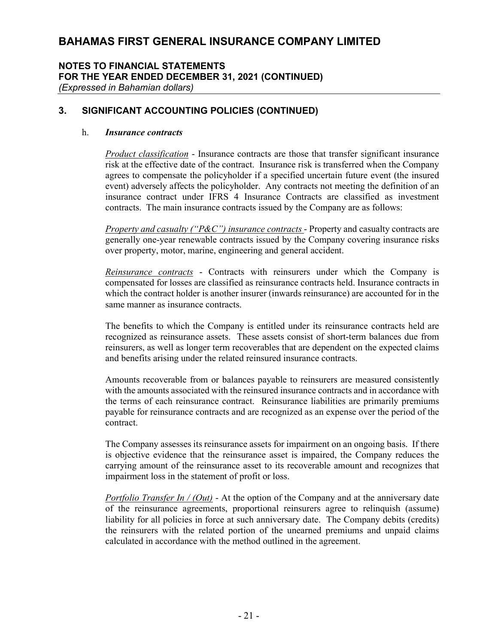### **NOTES TO FINANCIAL STATEMENTS FOR THE YEAR ENDED DECEMBER 31, 2021 (CONTINUED)** *(Expressed in Bahamian dollars)*

### **3. SIGNIFICANT ACCOUNTING POLICIES (CONTINUED)**

#### h. *Insurance contracts*

*Product classification* - Insurance contracts are those that transfer significant insurance risk at the effective date of the contract. Insurance risk is transferred when the Company agrees to compensate the policyholder if a specified uncertain future event (the insured event) adversely affects the policyholder. Any contracts not meeting the definition of an insurance contract under IFRS 4 Insurance Contracts are classified as investment contracts. The main insurance contracts issued by the Company are as follows:

*Property and casualty ("P&C") insurance contracts* - Property and casualty contracts are generally one-year renewable contracts issued by the Company covering insurance risks over property, motor, marine, engineering and general accident.

*Reinsurance contracts* - Contracts with reinsurers under which the Company is compensated for losses are classified as reinsurance contracts held. Insurance contracts in which the contract holder is another insurer (inwards reinsurance) are accounted for in the same manner as insurance contracts.

The benefits to which the Company is entitled under its reinsurance contracts held are recognized as reinsurance assets. These assets consist of short-term balances due from reinsurers, as well as longer term recoverables that are dependent on the expected claims and benefits arising under the related reinsured insurance contracts.

Amounts recoverable from or balances payable to reinsurers are measured consistently with the amounts associated with the reinsured insurance contracts and in accordance with the terms of each reinsurance contract. Reinsurance liabilities are primarily premiums payable for reinsurance contracts and are recognized as an expense over the period of the contract.

The Company assesses its reinsurance assets for impairment on an ongoing basis. If there is objective evidence that the reinsurance asset is impaired, the Company reduces the carrying amount of the reinsurance asset to its recoverable amount and recognizes that impairment loss in the statement of profit or loss.

*Portfolio Transfer In / (Out)* - At the option of the Company and at the anniversary date of the reinsurance agreements, proportional reinsurers agree to relinquish (assume) liability for all policies in force at such anniversary date. The Company debits (credits) the reinsurers with the related portion of the unearned premiums and unpaid claims calculated in accordance with the method outlined in the agreement.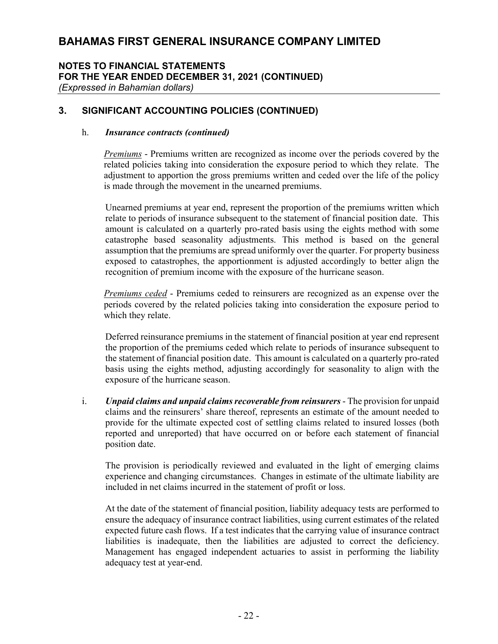### **NOTES TO FINANCIAL STATEMENTS FOR THE YEAR ENDED DECEMBER 31, 2021 (CONTINUED)** *(Expressed in Bahamian dollars)*

### **3. SIGNIFICANT ACCOUNTING POLICIES (CONTINUED)**

#### h. *Insurance contracts (continued)*

*Premiums* - Premiums written are recognized as income over the periods covered by the related policies taking into consideration the exposure period to which they relate. The adjustment to apportion the gross premiums written and ceded over the life of the policy is made through the movement in the unearned premiums.

Unearned premiums at year end, represent the proportion of the premiums written which relate to periods of insurance subsequent to the statement of financial position date. This amount is calculated on a quarterly pro-rated basis using the eights method with some catastrophe based seasonality adjustments. This method is based on the general assumption that the premiums are spread uniformly over the quarter. For property business exposed to catastrophes, the apportionment is adjusted accordingly to better align the recognition of premium income with the exposure of the hurricane season.

*Premiums ceded* - Premiums ceded to reinsurers are recognized as an expense over the periods covered by the related policies taking into consideration the exposure period to which they relate.

Deferred reinsurance premiums in the statement of financial position at year end represent the proportion of the premiums ceded which relate to periods of insurance subsequent to the statement of financial position date. This amount is calculated on a quarterly pro-rated basis using the eights method, adjusting accordingly for seasonality to align with the exposure of the hurricane season.

i. *Unpaid claims and unpaid claims recoverable from reinsurers* - The provision for unpaid claims and the reinsurers' share thereof, represents an estimate of the amount needed to provide for the ultimate expected cost of settling claims related to insured losses (both reported and unreported) that have occurred on or before each statement of financial position date.

The provision is periodically reviewed and evaluated in the light of emerging claims experience and changing circumstances. Changes in estimate of the ultimate liability are included in net claims incurred in the statement of profit or loss.

At the date of the statement of financial position, liability adequacy tests are performed to ensure the adequacy of insurance contract liabilities, using current estimates of the related expected future cash flows. If a test indicates that the carrying value of insurance contract liabilities is inadequate, then the liabilities are adjusted to correct the deficiency. Management has engaged independent actuaries to assist in performing the liability adequacy test at year-end.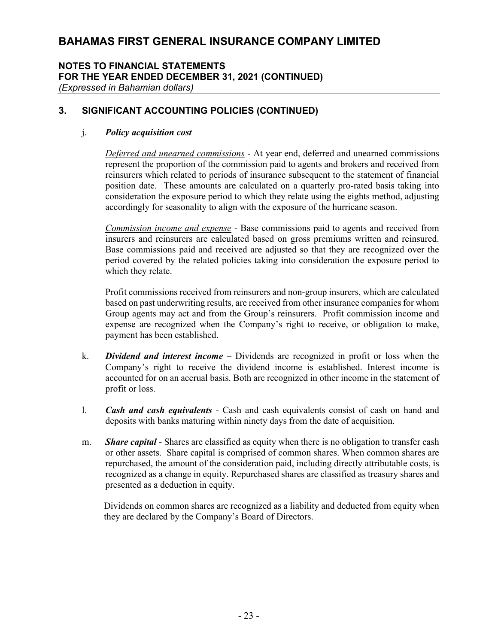### **NOTES TO FINANCIAL STATEMENTS FOR THE YEAR ENDED DECEMBER 31, 2021 (CONTINUED)** *(Expressed in Bahamian dollars)*

### **3. SIGNIFICANT ACCOUNTING POLICIES (CONTINUED)**

### j. *Policy acquisition cost*

*Deferred and unearned commissions* - At year end, deferred and unearned commissions represent the proportion of the commission paid to agents and brokers and received from reinsurers which related to periods of insurance subsequent to the statement of financial position date. These amounts are calculated on a quarterly pro-rated basis taking into consideration the exposure period to which they relate using the eights method, adjusting accordingly for seasonality to align with the exposure of the hurricane season.

*Commission income and expense* - Base commissions paid to agents and received from insurers and reinsurers are calculated based on gross premiums written and reinsured. Base commissions paid and received are adjusted so that they are recognized over the period covered by the related policies taking into consideration the exposure period to which they relate.

Profit commissions received from reinsurers and non-group insurers, which are calculated based on past underwriting results, are received from other insurance companies for whom Group agents may act and from the Group's reinsurers. Profit commission income and expense are recognized when the Company's right to receive, or obligation to make, payment has been established.

- k. *Dividend and interest income* Dividends are recognized in profit or loss when the Company's right to receive the dividend income is established. Interest income is accounted for on an accrual basis. Both are recognized in other income in the statement of profit or loss.
- l. *Cash and cash equivalents*  Cash and cash equivalents consist of cash on hand and deposits with banks maturing within ninety days from the date of acquisition.
- m. *Share capital* Shares are classified as equity when there is no obligation to transfer cash or other assets. Share capital is comprised of common shares. When common shares are repurchased, the amount of the consideration paid, including directly attributable costs, is recognized as a change in equity. Repurchased shares are classified as treasury shares and presented as a deduction in equity.

Dividends on common shares are recognized as a liability and deducted from equity when they are declared by the Company's Board of Directors.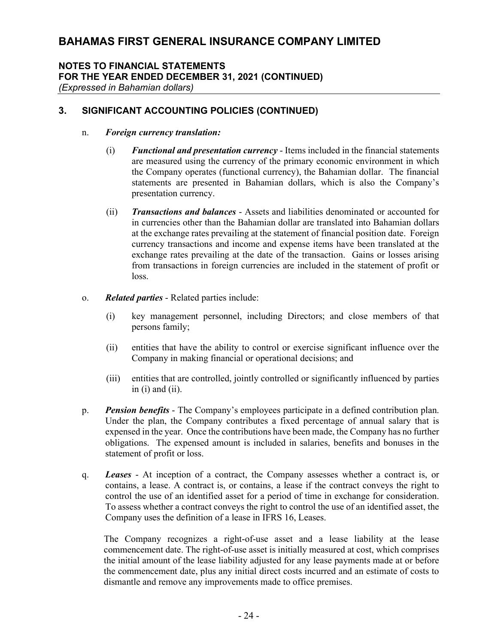### **NOTES TO FINANCIAL STATEMENTS FOR THE YEAR ENDED DECEMBER 31, 2021 (CONTINUED)** *(Expressed in Bahamian dollars)*

### **3. SIGNIFICANT ACCOUNTING POLICIES (CONTINUED)**

### n. *Foreign currency translation:*

- (i) *Functional and presentation currency* Items included in the financial statements are measured using the currency of the primary economic environment in which the Company operates (functional currency), the Bahamian dollar. The financial statements are presented in Bahamian dollars, which is also the Company's presentation currency.
- (ii) *Transactions and balances* Assets and liabilities denominated or accounted for in currencies other than the Bahamian dollar are translated into Bahamian dollars at the exchange rates prevailing at the statement of financial position date. Foreign currency transactions and income and expense items have been translated at the exchange rates prevailing at the date of the transaction. Gains or losses arising from transactions in foreign currencies are included in the statement of profit or loss.
- o. *Related parties* Related parties include:
	- (i) key management personnel, including Directors; and close members of that persons family;
	- (ii) entities that have the ability to control or exercise significant influence over the Company in making financial or operational decisions; and
	- (iii) entities that are controlled, jointly controlled or significantly influenced by parties in  $(i)$  and  $(ii)$ .
- p. *Pension benefits* The Company's employees participate in a defined contribution plan. Under the plan, the Company contributes a fixed percentage of annual salary that is expensed in the year. Once the contributions have been made, the Company has no further obligations. The expensed amount is included in salaries, benefits and bonuses in the statement of profit or loss.
- q. *Leases* At inception of a contract, the Company assesses whether a contract is, or contains, a lease. A contract is, or contains, a lease if the contract conveys the right to control the use of an identified asset for a period of time in exchange for consideration. To assess whether a contract conveys the right to control the use of an identified asset, the Company uses the definition of a lease in IFRS 16, Leases.

The Company recognizes a right-of-use asset and a lease liability at the lease commencement date. The right-of-use asset is initially measured at cost, which comprises the initial amount of the lease liability adjusted for any lease payments made at or before the commencement date, plus any initial direct costs incurred and an estimate of costs to dismantle and remove any improvements made to office premises.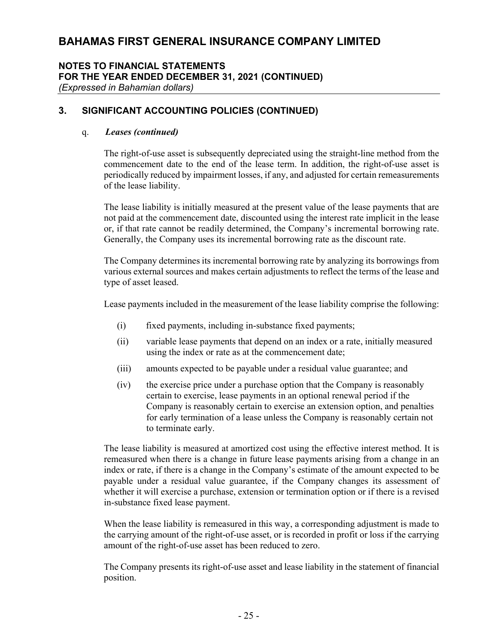### **NOTES TO FINANCIAL STATEMENTS FOR THE YEAR ENDED DECEMBER 31, 2021 (CONTINUED)** *(Expressed in Bahamian dollars)*

### **3. SIGNIFICANT ACCOUNTING POLICIES (CONTINUED)**

#### q. *Leases (continued)*

The right-of-use asset is subsequently depreciated using the straight-line method from the commencement date to the end of the lease term. In addition, the right-of-use asset is periodically reduced by impairment losses, if any, and adjusted for certain remeasurements of the lease liability.

The lease liability is initially measured at the present value of the lease payments that are not paid at the commencement date, discounted using the interest rate implicit in the lease or, if that rate cannot be readily determined, the Company's incremental borrowing rate. Generally, the Company uses its incremental borrowing rate as the discount rate.

The Company determines its incremental borrowing rate by analyzing its borrowings from various external sources and makes certain adjustments to reflect the terms of the lease and type of asset leased.

Lease payments included in the measurement of the lease liability comprise the following:

- (i) fixed payments, including in-substance fixed payments;
- (ii) variable lease payments that depend on an index or a rate, initially measured using the index or rate as at the commencement date;
- (iii) amounts expected to be payable under a residual value guarantee; and
- (iv) the exercise price under a purchase option that the Company is reasonably certain to exercise, lease payments in an optional renewal period if the Company is reasonably certain to exercise an extension option, and penalties for early termination of a lease unless the Company is reasonably certain not to terminate early.

The lease liability is measured at amortized cost using the effective interest method. It is remeasured when there is a change in future lease payments arising from a change in an index or rate, if there is a change in the Company's estimate of the amount expected to be payable under a residual value guarantee, if the Company changes its assessment of whether it will exercise a purchase, extension or termination option or if there is a revised in-substance fixed lease payment.

When the lease liability is remeasured in this way, a corresponding adjustment is made to the carrying amount of the right-of-use asset, or is recorded in profit or loss if the carrying amount of the right-of-use asset has been reduced to zero.

The Company presents its right-of-use asset and lease liability in the statement of financial position.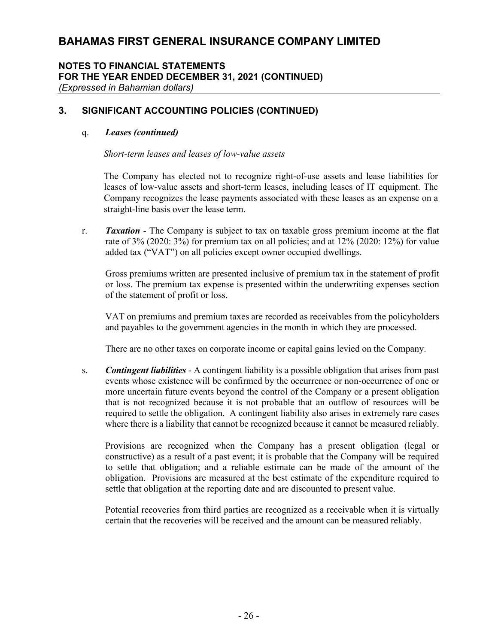### **NOTES TO FINANCIAL STATEMENTS FOR THE YEAR ENDED DECEMBER 31, 2021 (CONTINUED)** *(Expressed in Bahamian dollars)*

### **3. SIGNIFICANT ACCOUNTING POLICIES (CONTINUED)**

### q. *Leases (continued)*

*Short-term leases and leases of low-value assets*

The Company has elected not to recognize right-of-use assets and lease liabilities for leases of low-value assets and short-term leases, including leases of IT equipment. The Company recognizes the lease payments associated with these leases as an expense on a straight-line basis over the lease term.

r. *Taxation* - The Company is subject to tax on taxable gross premium income at the flat rate of 3% (2020: 3%) for premium tax on all policies; and at 12% (2020: 12%) for value added tax ("VAT") on all policies except owner occupied dwellings.

Gross premiums written are presented inclusive of premium tax in the statement of profit or loss. The premium tax expense is presented within the underwriting expenses section of the statement of profit or loss.

VAT on premiums and premium taxes are recorded as receivables from the policyholders and payables to the government agencies in the month in which they are processed.

There are no other taxes on corporate income or capital gains levied on the Company.

s. *Contingent liabilities* - A contingent liability is a possible obligation that arises from past events whose existence will be confirmed by the occurrence or non-occurrence of one or more uncertain future events beyond the control of the Company or a present obligation that is not recognized because it is not probable that an outflow of resources will be required to settle the obligation. A contingent liability also arises in extremely rare cases where there is a liability that cannot be recognized because it cannot be measured reliably.

Provisions are recognized when the Company has a present obligation (legal or constructive) as a result of a past event; it is probable that the Company will be required to settle that obligation; and a reliable estimate can be made of the amount of the obligation. Provisions are measured at the best estimate of the expenditure required to settle that obligation at the reporting date and are discounted to present value.

Potential recoveries from third parties are recognized as a receivable when it is virtually certain that the recoveries will be received and the amount can be measured reliably.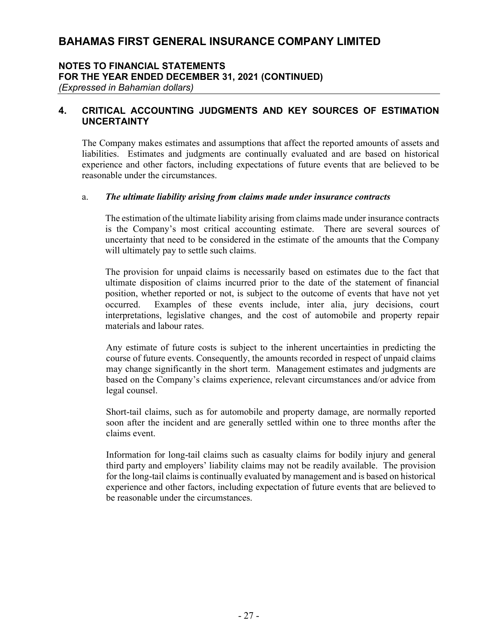### **NOTES TO FINANCIAL STATEMENTS FOR THE YEAR ENDED DECEMBER 31, 2021 (CONTINUED)** *(Expressed in Bahamian dollars)*

**4. CRITICAL ACCOUNTING JUDGMENTS AND KEY SOURCES OF ESTIMATION UNCERTAINTY**

The Company makes estimates and assumptions that affect the reported amounts of assets and liabilities. Estimates and judgments are continually evaluated and are based on historical experience and other factors, including expectations of future events that are believed to be reasonable under the circumstances.

#### a. *The ultimate liability arising from claims made under insurance contracts*

The estimation of the ultimate liability arising from claims made under insurance contracts is the Company's most critical accounting estimate. There are several sources of uncertainty that need to be considered in the estimate of the amounts that the Company will ultimately pay to settle such claims.

The provision for unpaid claims is necessarily based on estimates due to the fact that ultimate disposition of claims incurred prior to the date of the statement of financial position, whether reported or not, is subject to the outcome of events that have not yet occurred. Examples of these events include, inter alia, jury decisions, court interpretations, legislative changes, and the cost of automobile and property repair materials and labour rates.

Any estimate of future costs is subject to the inherent uncertainties in predicting the course of future events. Consequently, the amounts recorded in respect of unpaid claims may change significantly in the short term. Management estimates and judgments are based on the Company's claims experience, relevant circumstances and/or advice from legal counsel.

Short-tail claims, such as for automobile and property damage, are normally reported soon after the incident and are generally settled within one to three months after the claims event.

Information for long-tail claims such as casualty claims for bodily injury and general third party and employers' liability claims may not be readily available. The provision for the long-tail claims is continually evaluated by management and is based on historical experience and other factors, including expectation of future events that are believed to be reasonable under the circumstances.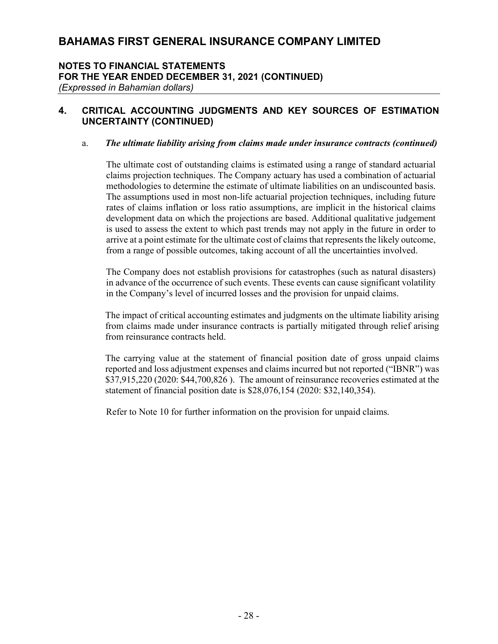### **NOTES TO FINANCIAL STATEMENTS FOR THE YEAR ENDED DECEMBER 31, 2021 (CONTINUED)** *(Expressed in Bahamian dollars)*

### **4. CRITICAL ACCOUNTING JUDGMENTS AND KEY SOURCES OF ESTIMATION UNCERTAINTY (CONTINUED)**

#### a. *The ultimate liability arising from claims made under insurance contracts (continued)*

The ultimate cost of outstanding claims is estimated using a range of standard actuarial claims projection techniques. The Company actuary has used a combination of actuarial methodologies to determine the estimate of ultimate liabilities on an undiscounted basis. The assumptions used in most non-life actuarial projection techniques, including future rates of claims inflation or loss ratio assumptions, are implicit in the historical claims development data on which the projections are based. Additional qualitative judgement is used to assess the extent to which past trends may not apply in the future in order to arrive at a point estimate for the ultimate cost of claims that represents the likely outcome, from a range of possible outcomes, taking account of all the uncertainties involved.

The Company does not establish provisions for catastrophes (such as natural disasters) in advance of the occurrence of such events. These events can cause significant volatility in the Company's level of incurred losses and the provision for unpaid claims.

The impact of critical accounting estimates and judgments on the ultimate liability arising from claims made under insurance contracts is partially mitigated through relief arising from reinsurance contracts held.

The carrying value at the statement of financial position date of gross unpaid claims reported and loss adjustment expenses and claims incurred but not reported ("IBNR") was \$37,915,220 (2020: \$44,700,826 ). The amount of reinsurance recoveries estimated at the statement of financial position date is \$28,076,154 (2020: \$32,140,354).

Refer to Note 10 for further information on the provision for unpaid claims.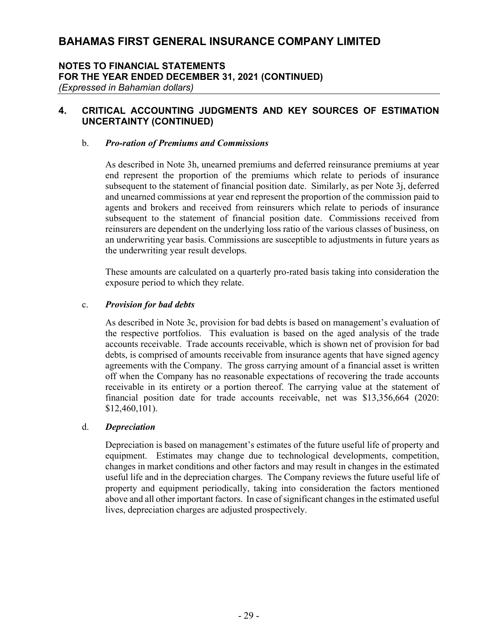### **NOTES TO FINANCIAL STATEMENTS FOR THE YEAR ENDED DECEMBER 31, 2021 (CONTINUED)** *(Expressed in Bahamian dollars)*

### **4. CRITICAL ACCOUNTING JUDGMENTS AND KEY SOURCES OF ESTIMATION UNCERTAINTY (CONTINUED)**

### b. *Pro-ration of Premiums and Commissions*

As described in Note 3h, unearned premiums and deferred reinsurance premiums at year end represent the proportion of the premiums which relate to periods of insurance subsequent to the statement of financial position date. Similarly, as per Note 3j, deferred and unearned commissions at year end represent the proportion of the commission paid to agents and brokers and received from reinsurers which relate to periods of insurance subsequent to the statement of financial position date. Commissions received from reinsurers are dependent on the underlying loss ratio of the various classes of business, on an underwriting year basis. Commissions are susceptible to adjustments in future years as the underwriting year result develops.

These amounts are calculated on a quarterly pro-rated basis taking into consideration the exposure period to which they relate.

#### c. *Provision for bad debts*

As described in Note 3c, provision for bad debts is based on management's evaluation of the respective portfolios. This evaluation is based on the aged analysis of the trade accounts receivable. Trade accounts receivable, which is shown net of provision for bad debts, is comprised of amounts receivable from insurance agents that have signed agency agreements with the Company. The gross carrying amount of a financial asset is written off when the Company has no reasonable expectations of recovering the trade accounts receivable in its entirety or a portion thereof. The carrying value at the statement of financial position date for trade accounts receivable, net was \$13,356,664 (2020: \$12,460,101).

### d. *Depreciation*

Depreciation is based on management's estimates of the future useful life of property and equipment. Estimates may change due to technological developments, competition, changes in market conditions and other factors and may result in changes in the estimated useful life and in the depreciation charges. The Company reviews the future useful life of property and equipment periodically, taking into consideration the factors mentioned above and all other important factors. In case of significant changes in the estimated useful lives, depreciation charges are adjusted prospectively.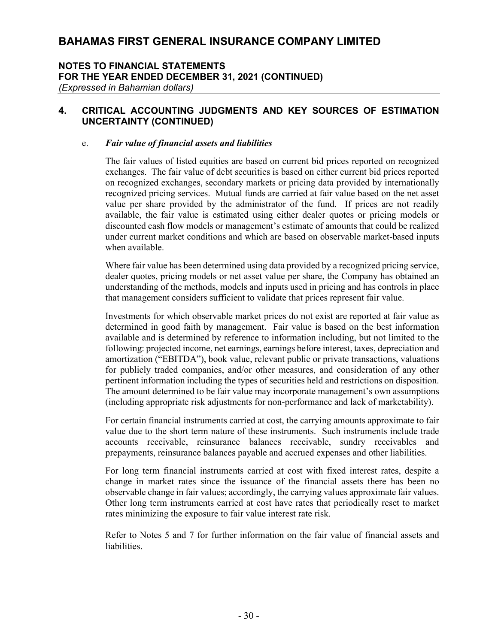### **NOTES TO FINANCIAL STATEMENTS FOR THE YEAR ENDED DECEMBER 31, 2021 (CONTINUED)** *(Expressed in Bahamian dollars)*

### **4. CRITICAL ACCOUNTING JUDGMENTS AND KEY SOURCES OF ESTIMATION UNCERTAINTY (CONTINUED)**

#### e. *Fair value of financial assets and liabilities*

The fair values of listed equities are based on current bid prices reported on recognized exchanges. The fair value of debt securities is based on either current bid prices reported on recognized exchanges, secondary markets or pricing data provided by internationally recognized pricing services. Mutual funds are carried at fair value based on the net asset value per share provided by the administrator of the fund. If prices are not readily available, the fair value is estimated using either dealer quotes or pricing models or discounted cash flow models or management's estimate of amounts that could be realized under current market conditions and which are based on observable market-based inputs when available.

Where fair value has been determined using data provided by a recognized pricing service, dealer quotes, pricing models or net asset value per share, the Company has obtained an understanding of the methods, models and inputs used in pricing and has controls in place that management considers sufficient to validate that prices represent fair value.

Investments for which observable market prices do not exist are reported at fair value as determined in good faith by management. Fair value is based on the best information available and is determined by reference to information including, but not limited to the following: projected income, net earnings, earnings before interest, taxes, depreciation and amortization ("EBITDA"), book value, relevant public or private transactions, valuations for publicly traded companies, and/or other measures, and consideration of any other pertinent information including the types of securities held and restrictions on disposition. The amount determined to be fair value may incorporate management's own assumptions (including appropriate risk adjustments for non-performance and lack of marketability).

For certain financial instruments carried at cost, the carrying amounts approximate to fair value due to the short term nature of these instruments. Such instruments include trade accounts receivable, reinsurance balances receivable, sundry receivables and prepayments, reinsurance balances payable and accrued expenses and other liabilities.

For long term financial instruments carried at cost with fixed interest rates, despite a change in market rates since the issuance of the financial assets there has been no observable change in fair values; accordingly, the carrying values approximate fair values. Other long term instruments carried at cost have rates that periodically reset to market rates minimizing the exposure to fair value interest rate risk.

Refer to Notes 5 and 7 for further information on the fair value of financial assets and liabilities.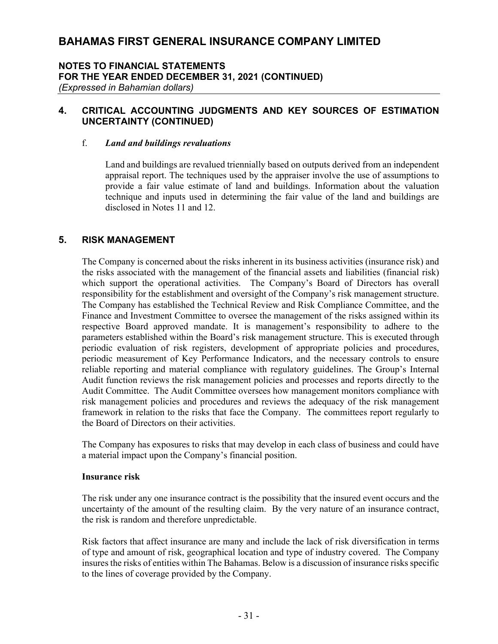### **NOTES TO FINANCIAL STATEMENTS FOR THE YEAR ENDED DECEMBER 31, 2021 (CONTINUED)** *(Expressed in Bahamian dollars)*

### **4. CRITICAL ACCOUNTING JUDGMENTS AND KEY SOURCES OF ESTIMATION UNCERTAINTY (CONTINUED)**

### f. *Land and buildings revaluations*

Land and buildings are revalued triennially based on outputs derived from an independent appraisal report. The techniques used by the appraiser involve the use of assumptions to provide a fair value estimate of land and buildings. Information about the valuation technique and inputs used in determining the fair value of the land and buildings are disclosed in Notes 11 and 12.

### **5. RISK MANAGEMENT**

The Company is concerned about the risks inherent in its business activities (insurance risk) and the risks associated with the management of the financial assets and liabilities (financial risk) which support the operational activities. The Company's Board of Directors has overall responsibility for the establishment and oversight of the Company's risk management structure. The Company has established the Technical Review and Risk Compliance Committee, and the Finance and Investment Committee to oversee the management of the risks assigned within its respective Board approved mandate. It is management's responsibility to adhere to the parameters established within the Board's risk management structure. This is executed through periodic evaluation of risk registers, development of appropriate policies and procedures, periodic measurement of Key Performance Indicators, and the necessary controls to ensure reliable reporting and material compliance with regulatory guidelines. The Group's Internal Audit function reviews the risk management policies and processes and reports directly to the Audit Committee. The Audit Committee oversees how management monitors compliance with risk management policies and procedures and reviews the adequacy of the risk management framework in relation to the risks that face the Company. The committees report regularly to the Board of Directors on their activities.

The Company has exposures to risks that may develop in each class of business and could have a material impact upon the Company's financial position.

#### **Insurance risk**

The risk under any one insurance contract is the possibility that the insured event occurs and the uncertainty of the amount of the resulting claim. By the very nature of an insurance contract, the risk is random and therefore unpredictable.

Risk factors that affect insurance are many and include the lack of risk diversification in terms of type and amount of risk, geographical location and type of industry covered. The Company insures the risks of entities within The Bahamas. Below is a discussion of insurance risks specific to the lines of coverage provided by the Company.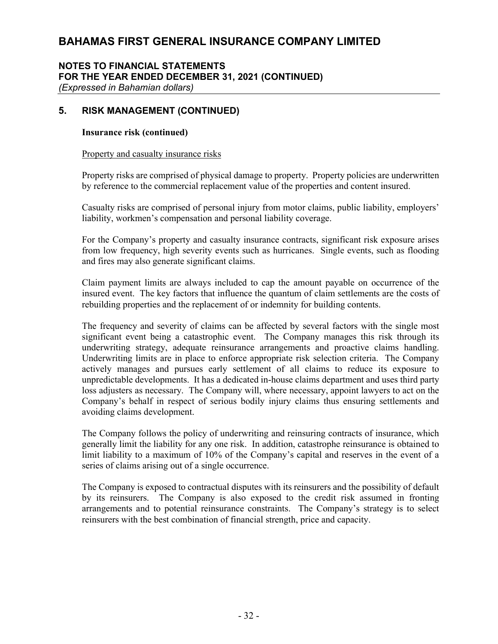### **NOTES TO FINANCIAL STATEMENTS FOR THE YEAR ENDED DECEMBER 31, 2021 (CONTINUED)** *(Expressed in Bahamian dollars)*

### **5. RISK MANAGEMENT (CONTINUED)**

#### **Insurance risk (continued)**

#### Property and casualty insurance risks

Property risks are comprised of physical damage to property. Property policies are underwritten by reference to the commercial replacement value of the properties and content insured.

Casualty risks are comprised of personal injury from motor claims, public liability, employers' liability, workmen's compensation and personal liability coverage.

For the Company's property and casualty insurance contracts, significant risk exposure arises from low frequency, high severity events such as hurricanes. Single events, such as flooding and fires may also generate significant claims.

Claim payment limits are always included to cap the amount payable on occurrence of the insured event. The key factors that influence the quantum of claim settlements are the costs of rebuilding properties and the replacement of or indemnity for building contents.

The frequency and severity of claims can be affected by several factors with the single most significant event being a catastrophic event. The Company manages this risk through its underwriting strategy, adequate reinsurance arrangements and proactive claims handling. Underwriting limits are in place to enforce appropriate risk selection criteria. The Company actively manages and pursues early settlement of all claims to reduce its exposure to unpredictable developments. It has a dedicated in-house claims department and uses third party loss adjusters as necessary. The Company will, where necessary, appoint lawyers to act on the Company's behalf in respect of serious bodily injury claims thus ensuring settlements and avoiding claims development.

The Company follows the policy of underwriting and reinsuring contracts of insurance, which generally limit the liability for any one risk. In addition, catastrophe reinsurance is obtained to limit liability to a maximum of 10% of the Company's capital and reserves in the event of a series of claims arising out of a single occurrence.

The Company is exposed to contractual disputes with its reinsurers and the possibility of default by its reinsurers. The Company is also exposed to the credit risk assumed in fronting arrangements and to potential reinsurance constraints. The Company's strategy is to select reinsurers with the best combination of financial strength, price and capacity.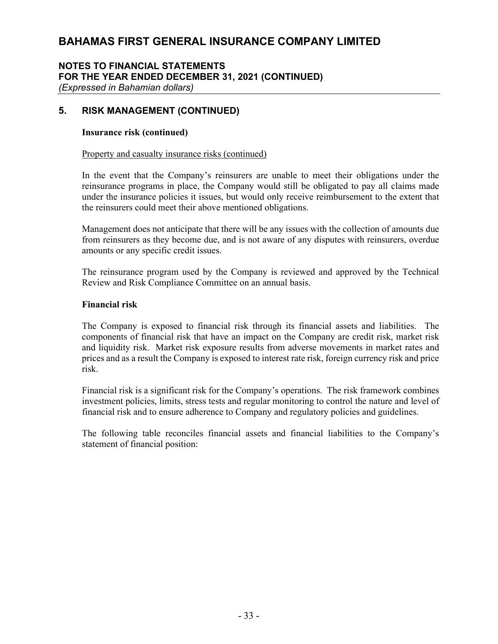### **NOTES TO FINANCIAL STATEMENTS FOR THE YEAR ENDED DECEMBER 31, 2021 (CONTINUED)** *(Expressed in Bahamian dollars)*

### **5. RISK MANAGEMENT (CONTINUED)**

#### **Insurance risk (continued)**

#### Property and casualty insurance risks (continued)

In the event that the Company's reinsurers are unable to meet their obligations under the reinsurance programs in place, the Company would still be obligated to pay all claims made under the insurance policies it issues, but would only receive reimbursement to the extent that the reinsurers could meet their above mentioned obligations.

Management does not anticipate that there will be any issues with the collection of amounts due from reinsurers as they become due, and is not aware of any disputes with reinsurers, overdue amounts or any specific credit issues.

The reinsurance program used by the Company is reviewed and approved by the Technical Review and Risk Compliance Committee on an annual basis.

#### **Financial risk**

The Company is exposed to financial risk through its financial assets and liabilities. The components of financial risk that have an impact on the Company are credit risk, market risk and liquidity risk. Market risk exposure results from adverse movements in market rates and prices and as a result the Company is exposed to interest rate risk, foreign currency risk and price risk.

Financial risk is a significant risk for the Company's operations. The risk framework combines investment policies, limits, stress tests and regular monitoring to control the nature and level of financial risk and to ensure adherence to Company and regulatory policies and guidelines.

The following table reconciles financial assets and financial liabilities to the Company's statement of financial position: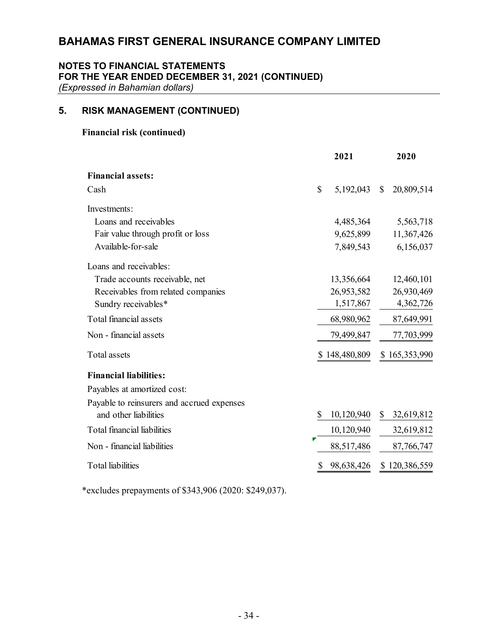# **NOTES TO FINANCIAL STATEMENTS FOR THE YEAR ENDED DECEMBER 31, 2021 (CONTINUED)**

*(Expressed in Bahamian dollars)*

### **5. RISK MANAGEMENT (CONTINUED)**

### **Financial risk (continued)**

|                                                                     | 2021             |              | 2020          |
|---------------------------------------------------------------------|------------------|--------------|---------------|
| <b>Financial assets:</b>                                            |                  |              |               |
| Cash                                                                | \$<br>5,192,043  | $\mathbb{S}$ | 20,809,514    |
| Investments:                                                        |                  |              |               |
| Loans and receivables                                               | 4,485,364        |              | 5,563,718     |
| Fair value through profit or loss                                   | 9,625,899        |              | 11,367,426    |
| Available-for-sale                                                  | 7,849,543        |              | 6,156,037     |
| Loans and receivables:                                              |                  |              |               |
| Trade accounts receivable, net                                      | 13,356,664       |              | 12,460,101    |
| Receivables from related companies                                  | 26,953,582       |              | 26,930,469    |
| Sundry receivables*                                                 | 1,517,867        |              | 4,362,726     |
| Total financial assets                                              | 68,980,962       |              | 87,649,991    |
| Non - financial assets                                              | 79,499,847       |              | 77,703,999    |
| Total assets                                                        | \$148,480,809    |              | \$165,353,990 |
| <b>Financial liabilities:</b>                                       |                  |              |               |
| Payables at amortized cost:                                         |                  |              |               |
| Payable to reinsurers and accrued expenses<br>and other liabilities | \$<br>10,120,940 | \$           | 32,619,812    |
|                                                                     |                  |              |               |
| Total financial liabilities                                         | 10,120,940       |              | 32,619,812    |
| Non - financial liabilities                                         | 88,517,486       |              | 87,766,747    |
| <b>Total liabilities</b>                                            | \$<br>98,638,426 |              | \$120,386,559 |

\*excludes prepayments of \$343,906 (2020: \$249,037).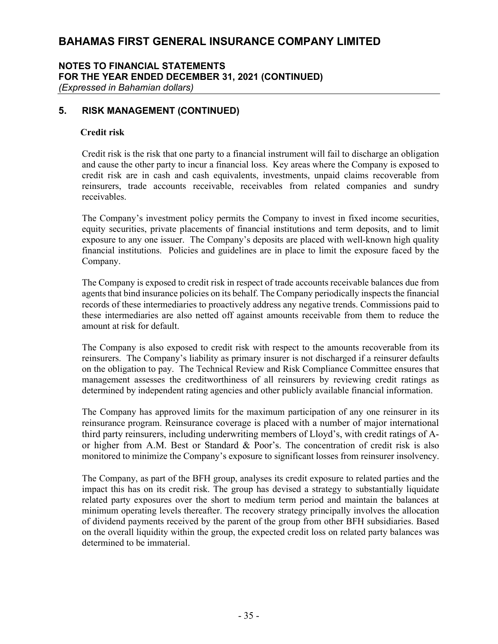### **NOTES TO FINANCIAL STATEMENTS FOR THE YEAR ENDED DECEMBER 31, 2021 (CONTINUED)** *(Expressed in Bahamian dollars)*

### **5. RISK MANAGEMENT (CONTINUED)**

#### **Credit risk**

Credit risk is the risk that one party to a financial instrument will fail to discharge an obligation and cause the other party to incur a financial loss. Key areas where the Company is exposed to credit risk are in cash and cash equivalents, investments, unpaid claims recoverable from reinsurers, trade accounts receivable, receivables from related companies and sundry receivables.

The Company's investment policy permits the Company to invest in fixed income securities, equity securities, private placements of financial institutions and term deposits, and to limit exposure to any one issuer. The Company's deposits are placed with well-known high quality financial institutions. Policies and guidelines are in place to limit the exposure faced by the Company.

The Company is exposed to credit risk in respect of trade accounts receivable balances due from agents that bind insurance policies on its behalf. The Company periodically inspects the financial records of these intermediaries to proactively address any negative trends. Commissions paid to these intermediaries are also netted off against amounts receivable from them to reduce the amount at risk for default.

The Company is also exposed to credit risk with respect to the amounts recoverable from its reinsurers. The Company's liability as primary insurer is not discharged if a reinsurer defaults on the obligation to pay. The Technical Review and Risk Compliance Committee ensures that management assesses the creditworthiness of all reinsurers by reviewing credit ratings as determined by independent rating agencies and other publicly available financial information.

The Company has approved limits for the maximum participation of any one reinsurer in its reinsurance program. Reinsurance coverage is placed with a number of major international third party reinsurers, including underwriting members of Lloyd's, with credit ratings of Aor higher from A.M. Best or Standard & Poor's. The concentration of credit risk is also monitored to minimize the Company's exposure to significant losses from reinsurer insolvency.

The Company, as part of the BFH group, analyses its credit exposure to related parties and the impact this has on its credit risk. The group has devised a strategy to substantially liquidate related party exposures over the short to medium term period and maintain the balances at minimum operating levels thereafter. The recovery strategy principally involves the allocation of dividend payments received by the parent of the group from other BFH subsidiaries. Based on the overall liquidity within the group, the expected credit loss on related party balances was determined to be immaterial.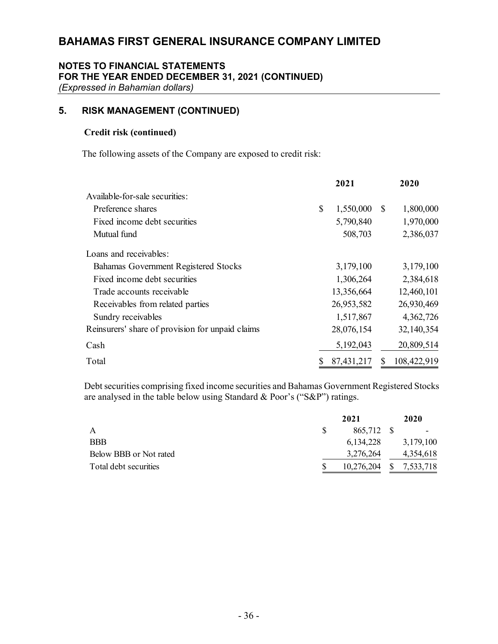### **NOTES TO FINANCIAL STATEMENTS FOR THE YEAR ENDED DECEMBER 31, 2021 (CONTINUED)** *(Expressed in Bahamian dollars)*

### **5. RISK MANAGEMENT (CONTINUED)**

#### **Credit risk (continued)**

The following assets of the Company are exposed to credit risk:

|                                                  |    | 2021         |    | 2020        |
|--------------------------------------------------|----|--------------|----|-------------|
| Available-for-sale securities:                   |    |              |    |             |
| Preference shares                                | \$ | 1,550,000    | -S | 1,800,000   |
| Fixed income debt securities                     |    | 5,790,840    |    | 1,970,000   |
| Mutual fund                                      |    | 508,703      |    | 2,386,037   |
| Loans and receivables:                           |    |              |    |             |
| Bahamas Government Registered Stocks             |    | 3,179,100    |    | 3,179,100   |
| Fixed income debt securities                     |    | 1,306,264    |    | 2,384,618   |
| Trade accounts receivable                        |    | 13,356,664   |    | 12,460,101  |
| Receivables from related parties                 |    | 26,953,582   |    | 26,930,469  |
| Sundry receivables                               |    | 1,517,867    |    | 4,362,726   |
| Reinsurers' share of provision for unpaid claims |    | 28,076,154   |    | 32,140,354  |
| Cash                                             |    | 5,192,043    |    | 20,809,514  |
| Total                                            | S  | 87, 431, 217 | S  | 108,422,919 |

Debt securities comprising fixed income securities and Bahamas Government Registered Stocks are analysed in the table below using Standard & Poor's ("S&P") ratings.

|                        | 2021 |                         |  | 2020      |  |  |
|------------------------|------|-------------------------|--|-----------|--|--|
| A                      |      | 865,712 \$              |  | ۰         |  |  |
| <b>BBB</b>             |      | 6, 134, 228             |  | 3,179,100 |  |  |
| Below BBB or Not rated |      | 3,276,264               |  | 4,354,618 |  |  |
| Total debt securities  |      | 10,276,204 \$ 7,533,718 |  |           |  |  |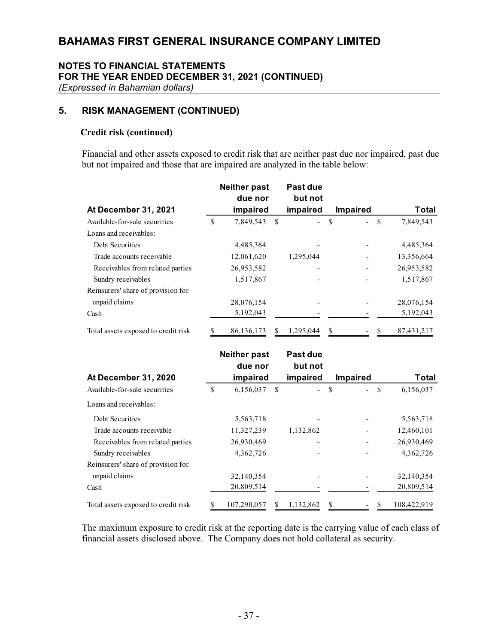### **NOTES TO FINANCIAL STATEMENTS FOR THE YEAR ENDED DECEMBER 31, 2021 (CONTINUED)** *(Expressed in Bahamian dollars)*

### **5. RISK MANAGEMENT (CONTINUED)**

#### **Credit risk (continued)**

Financial and other assets exposed to credit risk that are neither past due nor impaired, past due but not impaired and those that are impaired are analyzed in the table below:

|                                     |              | <b>Neither past</b> |               | Past due  |               |                 |               |            |
|-------------------------------------|--------------|---------------------|---------------|-----------|---------------|-----------------|---------------|------------|
|                                     |              | due nor             |               | but not   |               |                 |               |            |
| At December 31, 2021                |              | impaired            |               | impaired  |               | <b>Impaired</b> |               | Total      |
| Available-for-sale securities       | $\mathbb{S}$ | 7,849,543           | $\mathbb{S}$  |           | \$            |                 | $\mathcal{S}$ | 7,849,543  |
| Loans and receivables:              |              |                     |               |           |               |                 |               |            |
| Debt Securities                     |              | 4,485,364           |               |           |               |                 |               | 4,485,364  |
| Trade accounts receivable           |              | 12,061,620          |               | 1,295,044 |               |                 |               | 13,356,664 |
| Receivables from related parties    |              | 26,953,582          |               |           |               |                 |               | 26,953,582 |
| Sundry receivables                  |              | 1,517,867           |               |           |               |                 |               | 1,517,867  |
| Reinsurers' share of provision for  |              |                     |               |           |               |                 |               |            |
| unpaid claims                       |              | 28,076,154          |               |           |               |                 |               | 28,076,154 |
| Cash                                |              | 5,192,043           |               |           |               |                 |               | 5,192,043  |
| Total assets exposed to credit risk | S.           | 86,136,173          | S             | 1,295,044 | S             |                 | S             | 87,431,217 |
|                                     |              | <b>Neither past</b> |               | Past due  |               |                 |               |            |
|                                     |              | due nor             |               | but not   |               |                 |               |            |
| At December 31, 2020                |              | impaired            |               | impaired  |               | <b>Impaired</b> |               | Total      |
| Available-for-sale securities       | \$           | 6,156,037           | <sup>\$</sup> |           | <sup>\$</sup> |                 | S             | 6,156,037  |
| Loans and receivables:              |              |                     |               |           |               |                 |               |            |
| Debt Securities                     |              | 5,563,718           |               |           |               |                 |               | 5,563,718  |

| Debt Securities                     | 5,563,718   |           |   |  |   | 5,563,718   |
|-------------------------------------|-------------|-----------|---|--|---|-------------|
| Trade accounts receivable           | 11,327,239  | 1,132,862 |   |  |   | 12,460,101  |
| Receivables from related parties    | 26,930,469  |           |   |  |   | 26,930,469  |
| Sundry receivables                  | 4,362,726   |           |   |  |   | 4,362,726   |
| Reinsurers' share of provision for  |             |           |   |  |   |             |
| unpaid claims                       | 32,140,354  |           |   |  |   | 32,140,354  |
| Cash                                | 20,809,514  |           |   |  |   | 20,809,514  |
|                                     |             |           |   |  |   |             |
| Total assets exposed to credit risk | 107,290,057 | 1,132,862 | S |  | S | 108,422,919 |

The maximum exposure to credit risk at the reporting date is the carrying value of each class of financial assets disclosed above. The Company does not hold collateral as security.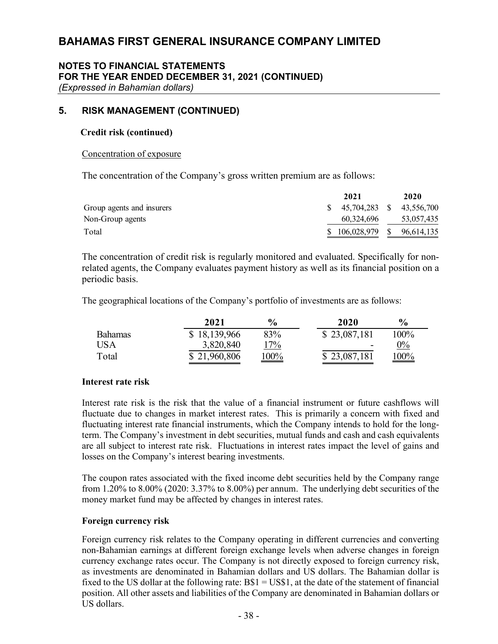### **NOTES TO FINANCIAL STATEMENTS FOR THE YEAR ENDED DECEMBER 31, 2021 (CONTINUED)** *(Expressed in Bahamian dollars)*

### **5. RISK MANAGEMENT (CONTINUED)**

#### **Credit risk (continued)**

#### Concentration of exposure

The concentration of the Company's gross written premium are as follows:

| 2021       | 2020                                                        |
|------------|-------------------------------------------------------------|
|            |                                                             |
| 60,324,696 | 53,057,435                                                  |
|            |                                                             |
|            | $$45,704,283$ $$43,556,700$<br>$$106,028,979$ $$96,614,135$ |

The concentration of credit risk is regularly monitored and evaluated. Specifically for nonrelated agents, the Company evaluates payment history as well as its financial position on a periodic basis.

The geographical locations of the Company's portfolio of investments are as follows:

|         | 2021         | $\frac{6}{9}$ | 2020         | $\%$         |
|---------|--------------|---------------|--------------|--------------|
| Bahamas | \$18,139,966 | 83%           | \$23,087,181 | 100%         |
| USA     | 3,820,840    | 17%           | -            | <u>0%</u>    |
| Total   | \$21,960,806 | <u> 100%</u>  | \$23,087,181 | <u> 100%</u> |

#### **Interest rate risk**

Interest rate risk is the risk that the value of a financial instrument or future cashflows will fluctuate due to changes in market interest rates. This is primarily a concern with fixed and fluctuating interest rate financial instruments, which the Company intends to hold for the longterm. The Company's investment in debt securities, mutual funds and cash and cash equivalents are all subject to interest rate risk. Fluctuations in interest rates impact the level of gains and losses on the Company's interest bearing investments.

The coupon rates associated with the fixed income debt securities held by the Company range from 1.20% to 8.00% (2020: 3.37% to 8.00%) per annum. The underlying debt securities of the money market fund may be affected by changes in interest rates.

#### **Foreign currency risk**

Foreign currency risk relates to the Company operating in different currencies and converting non-Bahamian earnings at different foreign exchange levels when adverse changes in foreign currency exchange rates occur. The Company is not directly exposed to foreign currency risk, as investments are denominated in Bahamian dollars and US dollars. The Bahamian dollar is fixed to the US dollar at the following rate:  $B$1 = US$1, at the date of the statement of financial$ position. All other assets and liabilities of the Company are denominated in Bahamian dollars or US dollars.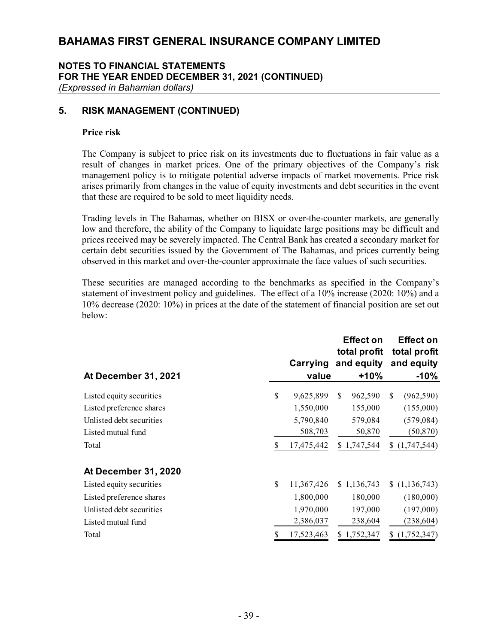### **NOTES TO FINANCIAL STATEMENTS FOR THE YEAR ENDED DECEMBER 31, 2021 (CONTINUED)** *(Expressed in Bahamian dollars)*

### **5. RISK MANAGEMENT (CONTINUED)**

#### **Price risk**

The Company is subject to price risk on its investments due to fluctuations in fair value as a result of changes in market prices. One of the primary objectives of the Company's risk management policy is to mitigate potential adverse impacts of market movements. Price risk arises primarily from changes in the value of equity investments and debt securities in the event that these are required to be sold to meet liquidity needs.

Trading levels in The Bahamas, whether on BISX or over-the-counter markets, are generally low and therefore, the ability of the Company to liquidate large positions may be difficult and prices received may be severely impacted. The Central Bank has created a secondary market for certain debt securities issued by the Government of The Bahamas, and prices currently being observed in this market and over-the-counter approximate the face values of such securities.

These securities are managed according to the benchmarks as specified in the Company's statement of investment policy and guidelines. The effect of a 10% increase (2020: 10%) and a 10% decrease (2020: 10%) in prices at the date of the statement of financial position are set out below:

| <b>At December 31, 2021</b> | Carrying<br>value | <b>Effect on</b><br>total profit<br>and equity<br>$+10%$ | <b>Effect on</b><br>total profit<br>and equity<br>$-10%$ |
|-----------------------------|-------------------|----------------------------------------------------------|----------------------------------------------------------|
| Listed equity securities    | \$<br>9,625,899   | S.<br>962,590                                            | \$.<br>(962, 590)                                        |
| Listed preference shares    | 1,550,000         | 155,000                                                  | (155,000)                                                |
| Unlisted debt securities    | 5,790,840         | 579,084                                                  | (579, 084)                                               |
| Listed mutual fund          | 508,703           | 50,870                                                   | (50, 870)                                                |
| Total                       | \$<br>17,475,442  | \$1,747,544                                              | (1,747,544)<br>S.                                        |
| <b>At December 31, 2020</b> |                   |                                                          |                                                          |
| Listed equity securities    | \$<br>11,367,426  | \$1,136,743                                              | (1,136,743)                                              |
| Listed preference shares    | 1,800,000         | 180,000                                                  | (180,000)                                                |
| Unlisted debt securities    | 1,970,000         | 197,000                                                  | (197,000)                                                |
| Listed mutual fund          | 2,386,037         | 238,604                                                  | (238, 604)                                               |
| Total                       | \$<br>17,523,463  | \$1,752,347                                              | (1,752,347)<br>S                                         |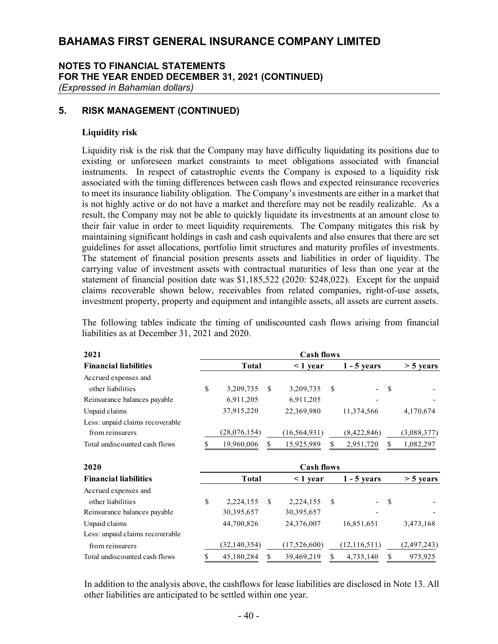### **NOTES TO FINANCIAL STATEMENTS FOR THE YEAR ENDED DECEMBER 31, 2021 (CONTINUED)** *(Expressed in Bahamian dollars)*

### **5. RISK MANAGEMENT (CONTINUED)**

#### **Liquidity risk**

Liquidity risk is the risk that the Company may have difficulty liquidating its positions due to existing or unforeseen market constraints to meet obligations associated with financial instruments. In respect of catastrophic events the Company is exposed to a liquidity risk associated with the timing differences between cash flows and expected reinsurance recoveries to meet its insurance liability obligation. The Company's investments are either in a market that is not highly active or do not have a market and therefore may not be readily realizable. As a result, the Company may not be able to quickly liquidate its investments at an amount close to their fair value in order to meet liquidity requirements. The Company mitigates this risk by maintaining significant holdings in cash and cash equivalents and also ensures that there are set guidelines for asset allocations, portfolio limit structures and maturity profiles of investments. The statement of financial position presents assets and liabilities in order of liquidity. The carrying value of investment assets with contractual maturities of less than one year at the statement of financial position date was \$1,185,522 (2020: \$248,022). Except for the unpaid claims recoverable shown below, receivables from related companies, right-of-use assets, investment property, property and equipment and intangible assets, all assets are current assets.

The following tables indicate the timing of undiscounted cash flows arising from financial liabilities as at December 31, 2021 and 2020.

| 2021                            | <b>Cash flows</b> |                |               |                   |    |                |    |             |  |
|---------------------------------|-------------------|----------------|---------------|-------------------|----|----------------|----|-------------|--|
| <b>Financial liabilities</b>    |                   | <b>Total</b>   |               | $< 1$ year        |    | $1 - 5$ years  |    | $>$ 5 years |  |
| Accrued expenses and            |                   |                |               |                   |    |                |    |             |  |
| other liabilities               | \$                | 3,209,735      | \$            | 3,209,735         | \$ |                | \$ |             |  |
| Reinsurance balances payable    |                   | 6,911,205      |               | 6,911,205         |    |                |    |             |  |
| Unpaid claims                   |                   | 37,915,220     |               | 22,369,980        |    | 11,374,566     |    | 4,170,674   |  |
| Less: unpaid claims recoverable |                   |                |               |                   |    |                |    |             |  |
| from reinsurers                 |                   | (28,076,154)   |               | (16, 564, 931)    |    | (8,422,846)    |    | (3,088,377) |  |
| Total undiscounted cash flows   |                   | 19,960,006     |               | 15,925,989        | \$ | 2,951,720      | \$ | 1,082,297   |  |
| 2020                            |                   |                |               | <b>Cash flows</b> |    |                |    |             |  |
| <b>Financial liabilities</b>    |                   | <b>Total</b>   |               | $\leq 1$ year     |    | $1 - 5$ years  |    | $>$ 5 years |  |
| Accrued expenses and            |                   |                |               |                   |    |                |    |             |  |
| other liabilities               | \$                | 2,224,155      | <sup>\$</sup> | 2,224,155         | \$ |                | \$ |             |  |
| Reinsurance balances payable    |                   | 30,395,657     |               | 30,395,657        |    |                |    |             |  |
| Unpaid claims                   |                   | 44,700,826     |               | 24,376,007        |    | 16,851,651     |    | 3,473,168   |  |
| Less: unpaid claims recoverable |                   |                |               |                   |    |                |    |             |  |
| from reinsurers                 |                   | (32, 140, 354) |               | (17,526,600)      |    | (12, 116, 511) |    | (2,497,243) |  |
| Total undiscounted cash flows   | \$                | 45,180,284     | \$            | 39,469,219        | \$ | 4,735,140      | \$ | 975,925     |  |

In addition to the analysis above, the cashflows for lease liabilities are disclosed in Note 13. All other liabilities are anticipated to be settled within one year.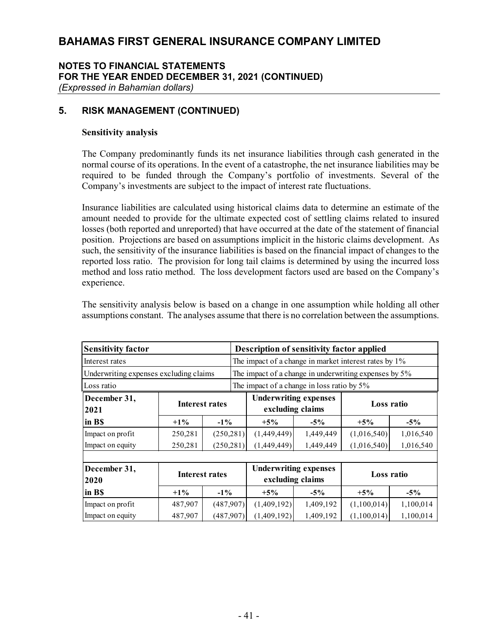### **NOTES TO FINANCIAL STATEMENTS FOR THE YEAR ENDED DECEMBER 31, 2021 (CONTINUED)** *(Expressed in Bahamian dollars)*

### **5. RISK MANAGEMENT (CONTINUED)**

#### **Sensitivity analysis**

The Company predominantly funds its net insurance liabilities through cash generated in the normal course of its operations. In the event of a catastrophe, the net insurance liabilities may be required to be funded through the Company's portfolio of investments. Several of the Company's investments are subject to the impact of interest rate fluctuations.

Insurance liabilities are calculated using historical claims data to determine an estimate of the amount needed to provide for the ultimate expected cost of settling claims related to insured losses (both reported and unreported) that have occurred at the date of the statement of financial position. Projections are based on assumptions implicit in the historic claims development. As such, the sensitivity of the insurance liabilities is based on the financial impact of changes to the reported loss ratio. The provision for long tail claims is determined by using the incurred loss method and loss ratio method. The loss development factors used are based on the Company's experience.

The sensitivity analysis below is based on a change in one assumption while holding all other assumptions constant. The analyses assume that there is no correlation between the assumptions.

| <b>Sensitivity factor</b>              |                |                | Description of sensitivity factor applied                |                              |             |            |  |  |
|----------------------------------------|----------------|----------------|----------------------------------------------------------|------------------------------|-------------|------------|--|--|
| Interest rates                         |                |                | The impact of a change in market interest rates by $1\%$ |                              |             |            |  |  |
| Underwriting expenses excluding claims |                |                | The impact of a change in underwriting expenses by 5%    |                              |             |            |  |  |
| Loss ratio                             |                |                | The impact of a change in loss ratio by 5%               |                              |             |            |  |  |
| December 31,                           |                | Interest rates |                                                          | <b>Underwriting expenses</b> | Loss ratio  |            |  |  |
| 2021                                   |                |                | excluding claims                                         |                              |             |            |  |  |
| in B\$                                 | $+1\%$         | $-1\%$         | $+5\%$                                                   | $-5\%$                       | $+5\%$      | $-5\%$     |  |  |
| Impact on profit                       | 250,281        | (250, 281)     | (1,449,449)                                              | 1,449,449                    | (1,016,540) | 1,016,540  |  |  |
| Impact on equity                       | 250,281        | (250, 281)     | (1,449,449)                                              | 1,449,449                    | (1,016,540) | 1,016,540  |  |  |
|                                        |                |                |                                                          |                              |             |            |  |  |
| December 31,                           | Interest rates |                |                                                          | <b>Underwriting expenses</b> |             | Loss ratio |  |  |
| 2020                                   |                |                |                                                          | excluding claims             |             |            |  |  |
| in B\$                                 | $+1\%$         | $-1\%$         | $+5%$                                                    | $-5\%$                       | $+5%$       | $-5\%$     |  |  |
| Impact on profit                       | 487,907        | (487,907)      | (1,409,192)                                              | 1,409,192                    | (1,100,014) | 1,100,014  |  |  |
| Impact on equity                       | 487,907        | (487, 907)     | (1,409,192)                                              | 1,409,192                    | (1,100,014) | 1,100,014  |  |  |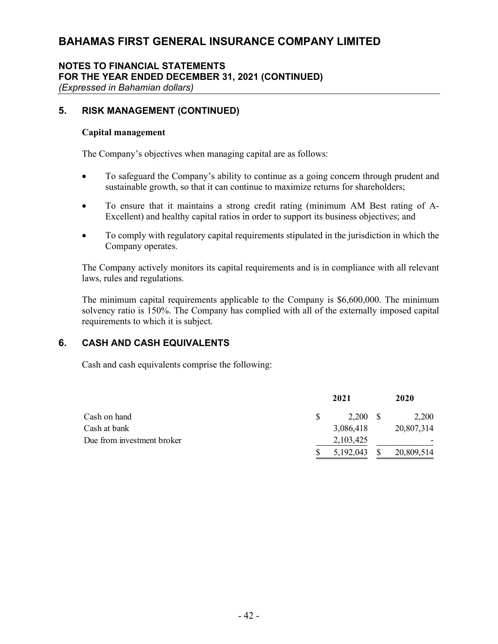### **NOTES TO FINANCIAL STATEMENTS FOR THE YEAR ENDED DECEMBER 31, 2021 (CONTINUED)** *(Expressed in Bahamian dollars)*

### **5. RISK MANAGEMENT (CONTINUED)**

#### **Capital management**

The Company's objectives when managing capital are as follows:

- To safeguard the Company's ability to continue as a going concern through prudent and sustainable growth, so that it can continue to maximize returns for shareholders;
- To ensure that it maintains a strong credit rating (minimum AM Best rating of A-Excellent) and healthy capital ratios in order to support its business objectives; and
- To comply with regulatory capital requirements stipulated in the jurisdiction in which the Company operates.

The Company actively monitors its capital requirements and is in compliance with all relevant laws, rules and regulations.

The minimum capital requirements applicable to the Company is \$6,600,000. The minimum solvency ratio is 150%. The Company has complied with all of the externally imposed capital requirements to which it is subject.

### **6. CASH AND CASH EQUIVALENTS**

Cash and cash equivalents comprise the following:

|                            |    | 2021        |               | 2020       |
|----------------------------|----|-------------|---------------|------------|
| Cash on hand               | S. | 2.200 \$    |               | 2,200      |
| Cash at bank               |    | 3,086,418   |               | 20,807,314 |
| Due from investment broker |    | 2, 103, 425 |               |            |
|                            |    | 5, 192, 043 | $\mathcal{S}$ | 20,809,514 |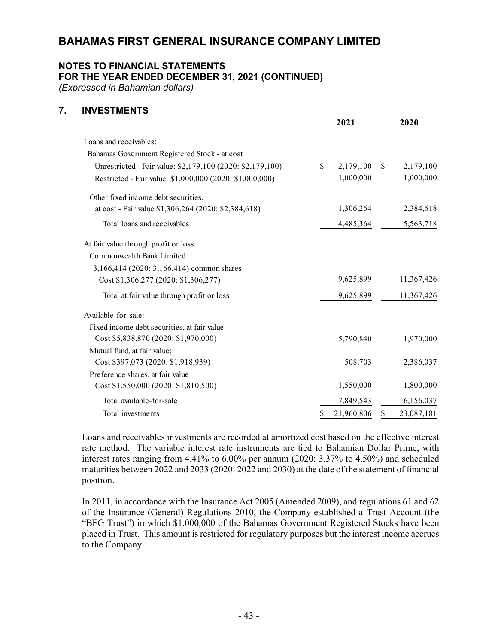### **NOTES TO FINANCIAL STATEMENTS FOR THE YEAR ENDED DECEMBER 31, 2021 (CONTINUED)**

*(Expressed in Bahamian dollars)*

### **7. INVESTMENTS**

|                                                            |    | 2021       |               | 2020       |
|------------------------------------------------------------|----|------------|---------------|------------|
| Loans and receivables:                                     |    |            |               |            |
| Bahamas Government Registered Stock - at cost              |    |            |               |            |
| Unrestricted - Fair value: \$2,179,100 (2020: \$2,179,100) | \$ | 2,179,100  | <sup>\$</sup> | 2,179,100  |
| Restricted - Fair value: \$1,000,000 (2020: \$1,000,000)   |    | 1,000,000  |               | 1,000,000  |
| Other fixed income debt securities,                        |    |            |               |            |
| at cost - Fair value \$1,306,264 (2020: \$2,384,618)       |    | 1,306,264  |               | 2,384,618  |
| Total loans and receivables                                |    | 4,485,364  |               | 5,563,718  |
| At fair value through profit or loss:                      |    |            |               |            |
| Commonwealth Bank Limited                                  |    |            |               |            |
| 3,166,414 (2020: 3,166,414) common shares                  |    |            |               |            |
| Cost \$1,306,277 (2020: \$1,306,277)                       |    | 9,625,899  |               | 11,367,426 |
| Total at fair value through profit or loss                 |    | 9,625,899  |               | 11,367,426 |
| Available-for-sale:                                        |    |            |               |            |
| Fixed income debt securities, at fair value                |    |            |               |            |
| Cost \$5,838,870 (2020: \$1,970,000)                       |    | 5,790,840  |               | 1,970,000  |
| Mutual fund, at fair value;                                |    |            |               |            |
| Cost \$397,073 (2020: \$1,918,939)                         |    | 508,703    |               | 2,386,037  |
| Preference shares, at fair value                           |    |            |               |            |
| Cost \$1,550,000 (2020: \$1,810,500)                       |    | 1,550,000  |               | 1,800,000  |
| Total available-for-sale                                   |    | 7,849,543  |               | 6,156,037  |
| Total investments                                          | S  | 21,960,806 | \$            | 23,087,181 |

Loans and receivables investments are recorded at amortized cost based on the effective interest rate method. The variable interest rate instruments are tied to Bahamian Dollar Prime, with interest rates ranging from 4.41% to 6.00% per annum (2020: 3.37% to 4.50%) and scheduled maturities between 2022 and 2033 (2020: 2022 and 2030) at the date of the statement of financial position.

In 2011, in accordance with the Insurance Act 2005 (Amended 2009), and regulations 61 and 62 of the Insurance (General) Regulations 2010, the Company established a Trust Account (the "BFG Trust") in which \$1,000,000 of the Bahamas Government Registered Stocks have been placed in Trust. This amount is restricted for regulatory purposes but the interest income accrues to the Company.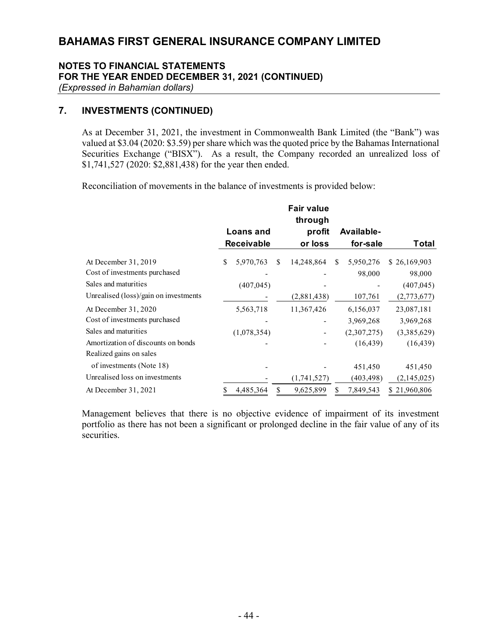### **NOTES TO FINANCIAL STATEMENTS FOR THE YEAR ENDED DECEMBER 31, 2021 (CONTINUED)** *(Expressed in Bahamian dollars)*

### **7. INVESTMENTS (CONTINUED)**

As at December 31, 2021, the investment in Commonwealth Bank Limited (the "Bank") was valued at \$3.04 (2020: \$3.59) per share which was the quoted price by the Bahamas International Securities Exchange ("BISX"). As a result, the Company recorded an unrealized loss of \$1,741,527 (2020: \$2,881,438) for the year then ended.

Reconciliation of movements in the balance of investments is provided below:

|                                       |                   |        | <b>Fair value</b><br>through |    |             |              |
|---------------------------------------|-------------------|--------|------------------------------|----|-------------|--------------|
|                                       | <b>Loans</b> and  | profit | Available-                   |    |             |              |
|                                       | <b>Receivable</b> |        | or loss                      |    | for-sale    | Total        |
| At December 31, 2019                  | \$<br>5,970,763   | S      | 14,248,864                   | S. | 5,950,276   | \$26,169,903 |
| Cost of investments purchased         |                   |        |                              |    | 98,000      | 98,000       |
| Sales and maturities                  | (407, 045)        |        |                              |    |             | (407, 045)   |
| Unrealised (loss)/gain on investments |                   |        | (2,881,438)                  |    | 107,761     | (2,773,677)  |
| At December 31, 2020                  | 5,563,718         |        | 11,367,426                   |    | 6,156,037   | 23,087,181   |
| Cost of investments purchased         |                   |        |                              |    | 3,969,268   | 3,969,268    |
| Sales and maturities                  | (1,078,354)       |        |                              |    | (2,307,275) | (3,385,629)  |
| Amortization of discounts on bonds    |                   |        |                              |    | (16, 439)   | (16, 439)    |
| Realized gains on sales               |                   |        |                              |    |             |              |
| of investments (Note 18)              |                   |        |                              |    | 451,450     | 451,450      |
| Unrealised loss on investments        |                   |        | (1,741,527)                  |    | (403,498)   | (2,145,025)  |
| At December 31, 2021                  | 4,485,364         | S      | 9,625,899                    |    | 7,849,543   | \$21,960,806 |

Management believes that there is no objective evidence of impairment of its investment portfolio as there has not been a significant or prolonged decline in the fair value of any of its securities.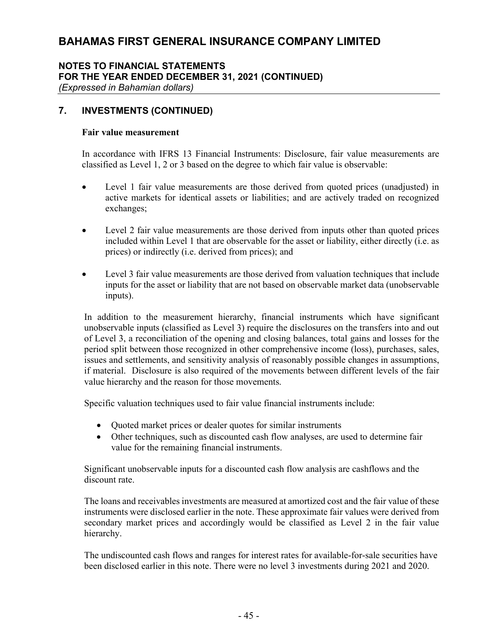### **NOTES TO FINANCIAL STATEMENTS FOR THE YEAR ENDED DECEMBER 31, 2021 (CONTINUED)** *(Expressed in Bahamian dollars)*

### **7. INVESTMENTS (CONTINUED)**

#### **Fair value measurement**

In accordance with IFRS 13 Financial Instruments: Disclosure, fair value measurements are classified as Level 1, 2 or 3 based on the degree to which fair value is observable:

- Level 1 fair value measurements are those derived from quoted prices (unadjusted) in active markets for identical assets or liabilities; and are actively traded on recognized exchanges;
- Level 2 fair value measurements are those derived from inputs other than quoted prices included within Level 1 that are observable for the asset or liability, either directly (i.e. as prices) or indirectly (i.e. derived from prices); and
- Level 3 fair value measurements are those derived from valuation techniques that include inputs for the asset or liability that are not based on observable market data (unobservable inputs).

In addition to the measurement hierarchy, financial instruments which have significant unobservable inputs (classified as Level 3) require the disclosures on the transfers into and out of Level 3, a reconciliation of the opening and closing balances, total gains and losses for the period split between those recognized in other comprehensive income (loss), purchases, sales, issues and settlements, and sensitivity analysis of reasonably possible changes in assumptions, if material. Disclosure is also required of the movements between different levels of the fair value hierarchy and the reason for those movements.

Specific valuation techniques used to fair value financial instruments include:

- Quoted market prices or dealer quotes for similar instruments
- Other techniques, such as discounted cash flow analyses, are used to determine fair value for the remaining financial instruments.

Significant unobservable inputs for a discounted cash flow analysis are cashflows and the discount rate.

The loans and receivables investments are measured at amortized cost and the fair value of these instruments were disclosed earlier in the note. These approximate fair values were derived from secondary market prices and accordingly would be classified as Level 2 in the fair value hierarchy.

The undiscounted cash flows and ranges for interest rates for available-for-sale securities have been disclosed earlier in this note. There were no level 3 investments during 2021 and 2020.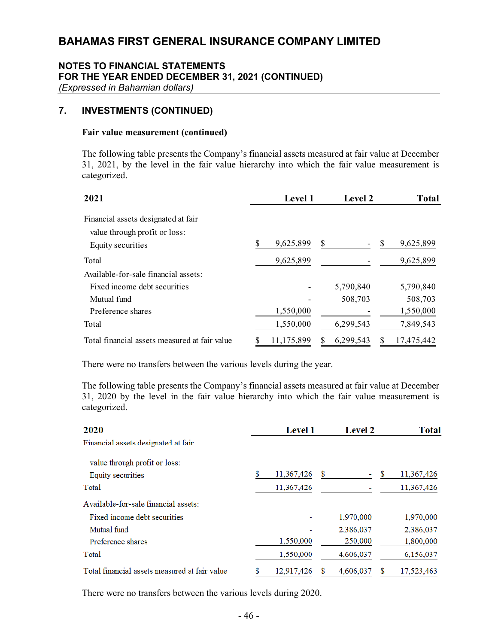### **NOTES TO FINANCIAL STATEMENTS FOR THE YEAR ENDED DECEMBER 31, 2021 (CONTINUED)** *(Expressed in Bahamian dollars)*

### **7. INVESTMENTS (CONTINUED)**

#### **Fair value measurement (continued)**

The following table presents the Company's financial assets measured at fair value at December 31, 2021, by the level in the fair value hierarchy into which the fair value measurement is categorized.

| 2021                                                                                      |   | Level 1    | <b>Level 2</b> | Total |            |  |
|-------------------------------------------------------------------------------------------|---|------------|----------------|-------|------------|--|
| Financial assets designated at fair<br>value through profit or loss:<br>Equity securities | S | 9,625,899  | \$             | S     | 9,625,899  |  |
| Total                                                                                     |   | 9,625,899  |                |       | 9,625,899  |  |
| Available-for-sale financial assets:                                                      |   |            |                |       |            |  |
| Fixed income debt securities                                                              |   |            | 5,790,840      |       | 5,790,840  |  |
| Mutual fund                                                                               |   |            | 508,703        |       | 508,703    |  |
| Preference shares                                                                         |   | 1,550,000  |                |       | 1,550,000  |  |
| Total                                                                                     |   | 1,550,000  | 6,299,543      |       | 7,849,543  |  |
| Total financial assets measured at fair value                                             |   | 11,175,899 | 6,299,543      |       | 17,475,442 |  |

There were no transfers between the various levels during the year.

The following table presents the Company's financial assets measured at fair value at December 31, 2020 by the level in the fair value hierarchy into which the fair value measurement is categorized.

| 2020                                          | <b>Level 1</b>   |   | <b>Level 2</b> |   | Total      |
|-----------------------------------------------|------------------|---|----------------|---|------------|
| Financial assets designated at fair           |                  |   |                |   |            |
| value through profit or loss:                 |                  |   |                |   |            |
| Equity securities                             | \$<br>11,367,426 | S |                | S | 11,367,426 |
| Total                                         | 11,367,426       |   |                |   | 11,367,426 |
| Available-for-sale financial assets:          |                  |   |                |   |            |
| Fixed income debt securities                  |                  |   | 1,970,000      |   | 1,970,000  |
| Mutual fund                                   |                  |   | 2,386,037      |   | 2,386,037  |
| Preference shares                             | 1,550,000        |   | 250,000        |   | 1,800,000  |
| Total                                         | 1,550,000        |   | 4,606,037      |   | 6,156,037  |
| Total financial assets measured at fair value | 12,917,426       |   | 4,606,037      | S | 17,523,463 |

There were no transfers between the various levels during 2020.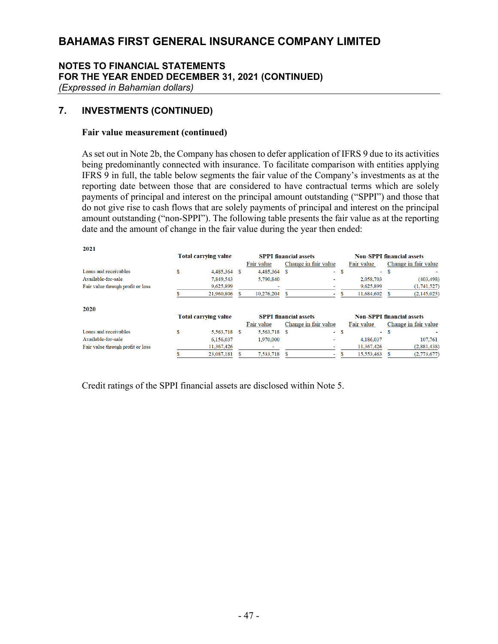### **NOTES TO FINANCIAL STATEMENTS FOR THE YEAR ENDED DECEMBER 31, 2021 (CONTINUED)** *(Expressed in Bahamian dollars)*

### **7. INVESTMENTS (CONTINUED)**

a a a c

#### **Fair value measurement (continued)**

As set out in Note 2b, the Company has chosen to defer application of IFRS 9 due to its activities being predominantly connected with insurance. To facilitate comparison with entities applying IFRS 9 in full, the table below segments the fair value of the Company's investments as at the reporting date between those that are considered to have contractual terms which are solely payments of principal and interest on the principal amount outstanding ("SPPI") and those that do not give rise to cash flows that are solely payments of principal and interest on the principal amount outstanding ("non-SPPI"). The following table presents the fair value as at the reporting date and the amount of change in the fair value during the year then ended:

| 2021                              |   |                             |              |                              |                          |          |                                  |    |                      |  |
|-----------------------------------|---|-----------------------------|--------------|------------------------------|--------------------------|----------|----------------------------------|----|----------------------|--|
|                                   |   | <b>Total carrying value</b> |              | <b>SPPI</b> financial assets |                          |          | <b>Non-SPPI financial assets</b> |    |                      |  |
|                                   |   |                             | Fair value   |                              | Change in fair value     |          | Fair value                       |    | Change in fair value |  |
| Loans and receivables             | S | 4,485,364 \$                | 4,485,364 \$ |                              | <b>Service</b>           | <b>S</b> | ÷.                               | -S |                      |  |
| Available-for-sale                |   | 7,849,543                   | 5,790,840    |                              |                          |          | 2,058,703                        |    | (403, 498)           |  |
| Fair value through profit or loss |   | 9,625,899                   |              |                              |                          |          | 9,625,899                        |    | (1,741,527)          |  |
|                                   |   | 21,960,806                  | 10.276.204   |                              |                          |          | 11,684,602                       | s  | (2,145,025)          |  |
| 2020                              |   |                             |              |                              |                          |          |                                  |    |                      |  |
|                                   |   | <b>Total carrying value</b> |              | <b>SPPI</b> financial assets |                          |          | <b>Non-SPPI financial assets</b> |    |                      |  |
|                                   |   |                             | Fair value   |                              | Change in fair value     |          | Fair value                       |    | Change in fair value |  |
| Loans and receivables             | S | 5.563.718 \$                | 5,563,718 \$ |                              | $\sim 10$                | -S       | ÷.                               | -S |                      |  |
| Available-for-sale                |   | 6,156,037                   | 1.970.000    |                              |                          |          | 4,186,037                        |    | 107,761              |  |
| Fair value through profit or loss |   | 11,367,426                  |              |                              |                          |          | 11,367,426                       |    | (2,881,438)          |  |
|                                   | ь | 23.087.181                  | 7.533.718 \$ |                              | $\overline{\phantom{a}}$ | S        | 15,553,463                       | -S | (2,773,677)          |  |

Credit ratings of the SPPI financial assets are disclosed within Note 5.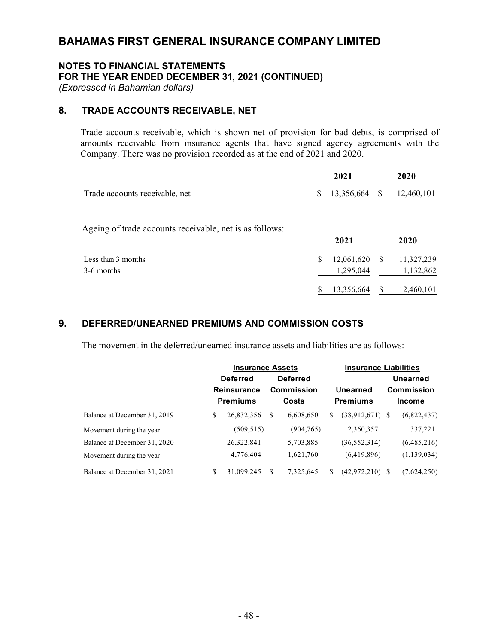### **NOTES TO FINANCIAL STATEMENTS FOR THE YEAR ENDED DECEMBER 31, 2021 (CONTINUED)** *(Expressed in Bahamian dollars)*

**8. TRADE ACCOUNTS RECEIVABLE, NET**

Trade accounts receivable, which is shown net of provision for bad debts, is comprised of amounts receivable from insurance agents that have signed agency agreements with the Company. There was no provision recorded as at the end of 2021 and 2020.

|                                                         | 2021                          |    | 2020                    |
|---------------------------------------------------------|-------------------------------|----|-------------------------|
| Trade accounts receivable, net                          | 13,356,664                    | S  | 12,460,101              |
| Ageing of trade accounts receivable, net is as follows: | 2021                          |    | 2020                    |
| Less than 3 months<br>3-6 months                        | \$<br>12,061,620<br>1,295,044 | -S | 11,327,239<br>1,132,862 |
|                                                         | \$<br>13,356,664              |    | 12,460,101              |

### **9. DEFERRED/UNEARNED PREMIUMS AND COMMISSION COSTS**

The movement in the deferred/unearned insurance assets and liabilities are as follows:

|                              | <b>Insurance Assets</b> |   |                   | <b>Insurance Liabilities</b> |   |                   |  |  |
|------------------------------|-------------------------|---|-------------------|------------------------------|---|-------------------|--|--|
|                              | <b>Deferred</b>         |   | <b>Deferred</b>   |                              |   | <b>Unearned</b>   |  |  |
|                              | <b>Reinsurance</b>      |   | <b>Commission</b> | Unearned                     |   | <b>Commission</b> |  |  |
|                              | <b>Premiums</b>         |   | Costs             | <b>Premiums</b>              |   | <b>Income</b>     |  |  |
| Balance at December 31, 2019 | \$<br>26,832,356        | S | 6,608,650         | \$<br>$(38,912,671)$ \$      |   | (6,822,437)       |  |  |
| Movement during the year     | (509, 515)              |   | (904, 765)        | 2,360,357                    |   | 337,221           |  |  |
| Balance at December 31, 2020 | 26,322,841              |   | 5,703,885         | (36, 552, 314)               |   | (6,485,216)       |  |  |
| Movement during the year     | 4,776,404               |   | 1,621,760         | (6,419,896)                  |   | (1, 139, 034)     |  |  |
| Balance at December 31, 2021 | 31,099,245              |   | 7,325,645         | (42, 972, 210)               | Ж | (7,624,250)       |  |  |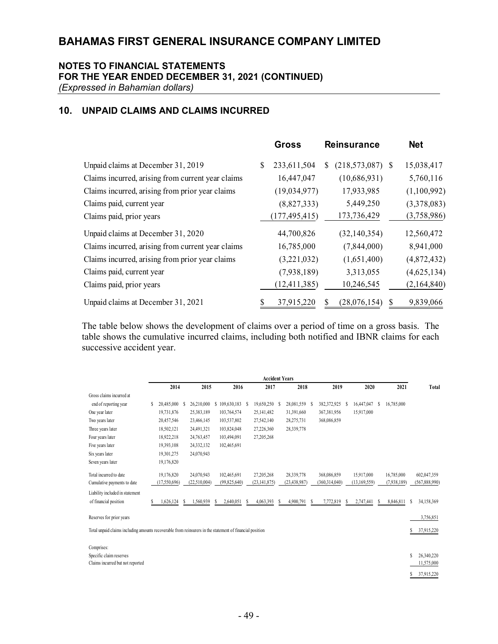### **NOTES TO FINANCIAL STATEMENTS FOR THE YEAR ENDED DECEMBER 31, 2021 (CONTINUED)** *(Expressed in Bahamian dollars)*

### **10. UNPAID CLAIMS AND CLAIMS INCURRED**

|                                                   | <b>Gross</b>      | <b>Reinsurance</b>   |    | <b>Net</b>  |
|---------------------------------------------------|-------------------|----------------------|----|-------------|
| Unpaid claims at December 31, 2019                | \$<br>233,611,504 | (218, 573, 087)<br>S | -S | 15,038,417  |
| Claims incurred, arising from current year claims | 16,447,047        | (10,686,931)         |    | 5,760,116   |
| Claims incurred, arising from prior year claims   | (19,034,977)      | 17,933,985           |    | (1,100,992) |
| Claims paid, current year                         | (8,827,333)       | 5,449,250            |    | (3,378,083) |
| Claims paid, prior years                          | (177, 495, 415)   | 173,736,429          |    | (3,758,986) |
| Unpaid claims at December 31, 2020                | 44,700,826        | (32, 140, 354)       |    | 12,560,472  |
| Claims incurred, arising from current year claims | 16,785,000        | (7,844,000)          |    | 8,941,000   |
| Claims incurred, arising from prior year claims   | (3,221,032)       | (1,651,400)          |    | (4,872,432) |
| Claims paid, current year                         | (7,938,189)       | 3,313,055            |    | (4,625,134) |
| Claims paid, prior years                          | (12, 411, 385)    | 10,246,545           |    | (2,164,840) |
| Unpaid claims at December 31, 2021                | 37,915,220        | (28,076,154)<br>S    |    | 9,839,066   |

The table below shows the development of claims over a period of time on a gross basis. The table shows the cumulative incurred claims, including both notified and IBNR claims for each successive accident year.

|                                                                                                          |   |                            |   |                            |   |                             |   | <b>Accident Years</b>        |   |                              |   |                                |     |                            |    |                           |    |                              |
|----------------------------------------------------------------------------------------------------------|---|----------------------------|---|----------------------------|---|-----------------------------|---|------------------------------|---|------------------------------|---|--------------------------------|-----|----------------------------|----|---------------------------|----|------------------------------|
|                                                                                                          |   | 2014                       |   | 2015                       |   | 2016                        |   | 2017                         |   | 2018                         |   | 2019                           |     | 2020                       |    | 2021                      |    | Total                        |
| Gross claims incurred at                                                                                 |   |                            |   |                            |   |                             |   |                              |   |                              |   |                                |     |                            |    |                           |    |                              |
| end of reporting year                                                                                    | S | 20,485,000                 | S | 26,210,000                 |   | $$109,630,183$ S            |   | 19,650,250 \$                |   | 28,081,559                   | S | 382,372,925                    | - S | 16,447,047                 | -S | 16,785,000                |    |                              |
| One year later                                                                                           |   | 19,731,876                 |   | 25,383,189                 |   | 103,764,574                 |   | 25,141,482                   |   | 31,391,660                   |   | 367,381,956                    |     | 15,917,000                 |    |                           |    |                              |
| Two years later                                                                                          |   | 20,457,546                 |   | 23,466,145                 |   | 103,537,802                 |   | 27,542,140                   |   | 28,275,731                   |   | 368,086,859                    |     |                            |    |                           |    |                              |
| Three years later                                                                                        |   | 18,502,121                 |   | 24,491,321                 |   | 103,824,048                 |   | 27,226,360                   |   | 28,339,778                   |   |                                |     |                            |    |                           |    |                              |
| Four years later                                                                                         |   | 18,922,218                 |   | 24,763,457                 |   | 103,494,091                 |   | 27,205,268                   |   |                              |   |                                |     |                            |    |                           |    |                              |
| Five years later                                                                                         |   | 19,393,108                 |   | 24,332,132                 |   | 102,465,691                 |   |                              |   |                              |   |                                |     |                            |    |                           |    |                              |
| Six years later                                                                                          |   | 19,301,275                 |   | 24,070,943                 |   |                             |   |                              |   |                              |   |                                |     |                            |    |                           |    |                              |
| Seven years later                                                                                        |   | 19,176,820                 |   |                            |   |                             |   |                              |   |                              |   |                                |     |                            |    |                           |    |                              |
| Total incurred to date<br>Cumulative payments to date                                                    |   | 19,176,820<br>(17,550,696) |   | 24,070,943<br>(22,510,004) |   | 102,465,691<br>(99,825,640) |   | 27,205,268<br>(23, 141, 875) |   | 28,339,778<br>(23, 438, 987) |   | 368,086,859<br>(360, 314, 040) |     | 15,917,000<br>(13,169,559) |    | 16,785,000<br>(7,938,189) |    | 602,047,359<br>(567,888,990) |
| Liability included in statement<br>of financial position                                                 | S | 1,626,124                  | S | 1,560,939                  | S | 2,640,051                   | S | 4,063,393                    | S | 4,900,791                    | S | 7,772,819                      | S   | 2,747,441                  | S  | 8,846,811                 | s  | 34,158,369                   |
| Reserves for prior years                                                                                 |   |                            |   |                            |   |                             |   |                              |   |                              |   |                                |     |                            |    |                           |    | 3,756,851                    |
| Total unpaid claims including amounts recoverable from reinsurers in the statement of financial position |   |                            |   |                            |   |                             |   |                              |   |                              |   |                                |     |                            |    |                           | \$ | 37,915,220                   |
| Comprises:                                                                                               |   |                            |   |                            |   |                             |   |                              |   |                              |   |                                |     |                            |    |                           |    |                              |
| Specific claim reserves                                                                                  |   |                            |   |                            |   |                             |   |                              |   |                              |   |                                |     |                            |    |                           | Ś  | 26,340,220                   |
| Claims incurred but not reported                                                                         |   |                            |   |                            |   |                             |   |                              |   |                              |   |                                |     |                            |    |                           |    | 11,575,000                   |
|                                                                                                          |   |                            |   |                            |   |                             |   |                              |   |                              |   |                                |     |                            |    |                           | \$ | 37.915.220                   |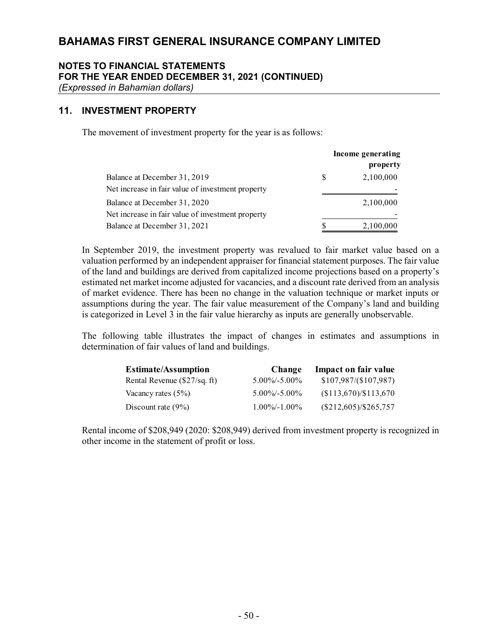### **NOTES TO FINANCIAL STATEMENTS FOR THE YEAR ENDED DECEMBER 31, 2021 (CONTINUED)** *(Expressed in Bahamian dollars)*

### **11. INVESTMENT PROPERTY**

The movement of investment property for the year is as follows:

|                                                   |   | Income generating |
|---------------------------------------------------|---|-------------------|
|                                                   |   | property          |
| Balance at December 31, 2019                      | S | 2,100,000         |
| Net increase in fair value of investment property |   |                   |
| Balance at December 31, 2020                      |   | 2,100,000         |
| Net increase in fair value of investment property |   |                   |
| Balance at December 31, 2021                      |   | 2,100,000         |

In September 2019, the investment property was revalued to fair market value based on a valuation performed by an independent appraiser for financial statement purposes. The fair value of the land and buildings are derived from capitalized income projections based on a property's estimated net market income adjusted for vacancies, and a discount rate derived from an analysis of market evidence. There has been no change in the valuation technique or market inputs or assumptions during the year. The fair value measurement of the Company's land and building is categorized in Level 3 in the fair value hierarchy as inputs are generally unobservable.

The following table illustrates the impact of changes in estimates and assumptions in determination of fair values of land and buildings.

| <b>Estimate/Assumption</b>   | Change            | <b>Impact on fair value</b> |
|------------------------------|-------------------|-----------------------------|
| Rental Revenue (\$27/sq. ft) | $5.00\% - 5.00\%$ | \$107,987/(\$107,987)       |
| Vacancy rates $(5\%)$        | $5.00\% - 5.00\%$ | (\$113,670)/\$113,670       |
| Discount rate $(9\%)$        | $1.00\%/1.00\%$   | (\$212,605)/\$265,757       |

Rental income of \$208,949 (2020: \$208,949) derived from investment property is recognized in other income in the statement of profit or loss.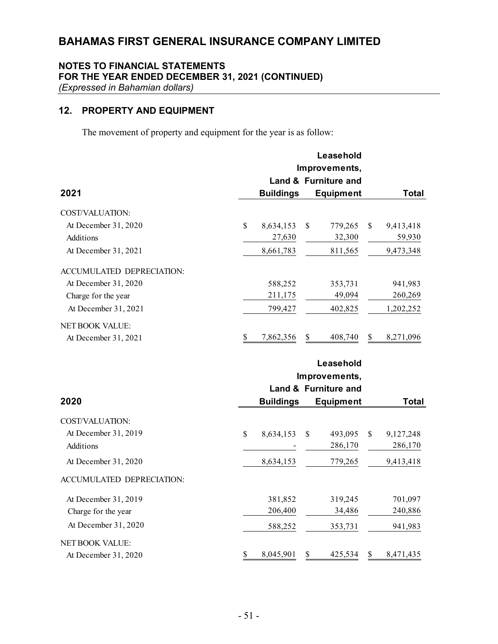### **NOTES TO FINANCIAL STATEMENTS FOR THE YEAR ENDED DECEMBER 31, 2021 (CONTINUED)** *(Expressed in Bahamian dollars)*

#### **12. PROPERTY AND EQUIPMENT**

The movement of property and equipment for the year is as follow:

|                           |              |                  | Leasehold            |              |              |
|---------------------------|--------------|------------------|----------------------|--------------|--------------|
|                           |              |                  | Improvements,        |              |              |
|                           |              |                  | Land & Furniture and |              |              |
| 2021                      |              | <b>Buildings</b> | <b>Equipment</b>     |              | <b>Total</b> |
| COST/VALUATION:           |              |                  |                      |              |              |
| At December 31, 2020      | \$           | 8,634,153        | \$<br>779,265        | \$           | 9,413,418    |
| Additions                 |              | 27,630           | 32,300               |              | 59,930       |
| At December 31, 2021      |              | 8,661,783        | 811,565              |              | 9,473,348    |
| ACCUMULATED DEPRECIATION: |              |                  |                      |              |              |
| At December 31, 2020      |              | 588,252          | 353,731              |              | 941,983      |
| Charge for the year       |              | 211,175          | 49,094               |              | 260,269      |
| At December 31, 2021      |              | 799,427          | 402,825              |              | 1,202,252    |
| <b>NET BOOK VALUE:</b>    |              |                  |                      |              |              |
| At December 31, 2021      | \$           | 7,862,356        | \$<br>408,740        | \$           | 8,271,096    |
|                           |              |                  | Leasehold            |              |              |
|                           |              |                  | Improvements,        |              |              |
|                           |              |                  | Land & Furniture and |              |              |
| 2020                      |              | <b>Buildings</b> | <b>Equipment</b>     |              | <b>Total</b> |
| COST/VALUATION:           |              |                  |                      |              |              |
| At December 31, 2019      | $\mathbb{S}$ | 8,634,153        | \$<br>493,095        | $\mathbb{S}$ | 9,127,248    |
| Additions                 |              |                  | 286,170              |              | 286,170      |
| At December 31, 2020      |              | 8,634,153        | 779,265              |              | 9,413,418    |
| ACCUMULATED DEPRECIATION: |              |                  |                      |              |              |
| At December 31, 2019      |              | 381,852          | 319,245              |              | 701,097      |
| Charge for the year       |              | 206,400          | 34,486               |              | 240,886      |
| At December 31, 2020      |              | 588,252          | 353,731              |              | 941,983      |
| NET BOOK VALUE:           |              |                  |                      |              |              |
| At December 31, 2020      | \$           | 8,045,901        | \$<br>425,534        | \$           | 8,471,435    |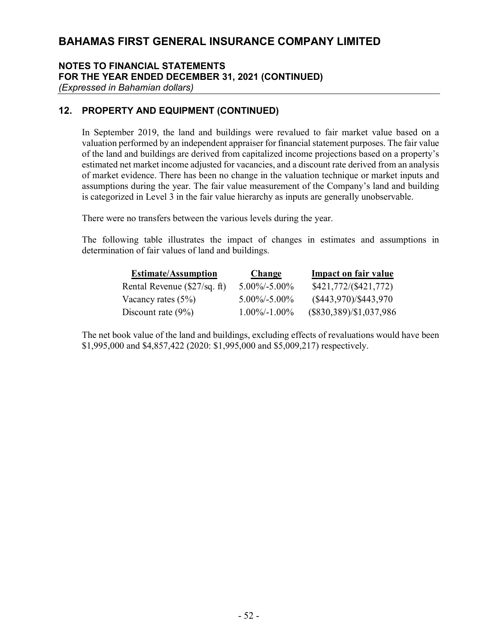### **NOTES TO FINANCIAL STATEMENTS FOR THE YEAR ENDED DECEMBER 31, 2021 (CONTINUED)** *(Expressed in Bahamian dollars)*

**12. PROPERTY AND EQUIPMENT (CONTINUED)**

In September 2019, the land and buildings were revalued to fair market value based on a valuation performed by an independent appraiser for financial statement purposes. The fair value of the land and buildings are derived from capitalized income projections based on a property's estimated net market income adjusted for vacancies, and a discount rate derived from an analysis of market evidence. There has been no change in the valuation technique or market inputs and assumptions during the year. The fair value measurement of the Company's land and building is categorized in Level 3 in the fair value hierarchy as inputs are generally unobservable.

There were no transfers between the various levels during the year.

The following table illustrates the impact of changes in estimates and assumptions in determination of fair values of land and buildings.

| <b>Estimate/Assumption</b>   | Change            | <b>Impact on fair value</b> |
|------------------------------|-------------------|-----------------------------|
| Rental Revenue (\$27/sq. ft) | $5.00\% - 5.00\%$ | \$421,772/(\$421,772)       |
| Vacancy rates $(5\%)$        | $5.00\% - 5.00\%$ | (\$443,970)/\$443,970       |
| Discount rate $(9\%)$        | $1.00\% - 1.00\%$ | $(\$830,389)/\$1,037,986$   |

The net book value of the land and buildings, excluding effects of revaluations would have been \$1,995,000 and \$4,857,422 (2020: \$1,995,000 and \$5,009,217) respectively.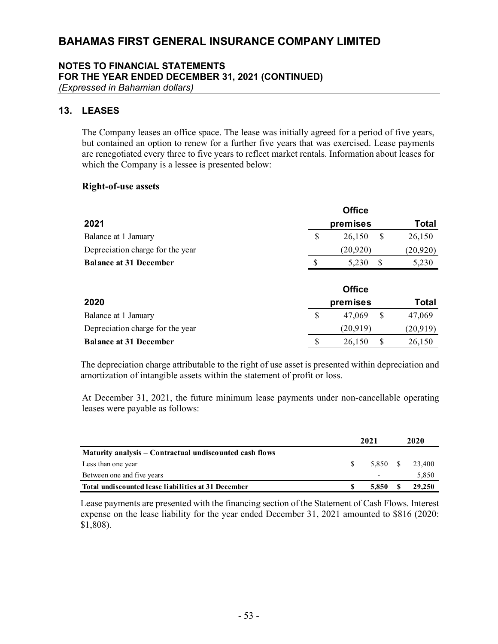#### **NOTES TO FINANCIAL STATEMENTS FOR THE YEAR ENDED DECEMBER 31, 2021 (CONTINUED)** *(Expressed in Bahamian dollars)*

### **13. LEASES**

The Company leases an office space. The lease was initially agreed for a period of five years, but contained an option to renew for a further five years that was exercised. Lease payments are renegotiated every three to five years to reflect market rentals. Information about leases for which the Company is a lessee is presented below:

#### **Right-of-use assets**

|                                  | <b>Office</b> |           |
|----------------------------------|---------------|-----------|
| 2021                             | premises      | Total     |
| Balance at 1 January             | 26,150        | 26,150    |
| Depreciation charge for the year | (20, 920)     | (20, 920) |
| <b>Balance at 31 December</b>    | 5.230         | 5,230     |

|                                  | <b>Office</b> |          |
|----------------------------------|---------------|----------|
| 2020                             | premises      | Total    |
| Balance at 1 January             | 47.069        | 47,069   |
| Depreciation charge for the year | (20,919)      | (20,919) |
| <b>Balance at 31 December</b>    | 26,150        | 26,150   |

The depreciation charge attributable to the right of use asset is presented within depreciation and amortization of intangible assets within the statement of profit or loss.

At December 31, 2021, the future minimum lease payments under non-cancellable operating leases were payable as follows:

|                                                         |     | 2021                     | 2020            |
|---------------------------------------------------------|-----|--------------------------|-----------------|
| Maturity analysis – Contractual undiscounted cash flows |     |                          |                 |
| Less than one year                                      | -SS |                          | 5.850 \$ 23.400 |
| Between one and five years                              |     | $\overline{\phantom{0}}$ | 5,850           |
| Total undiscounted lease liabilities at 31 December     |     | 5.850                    | 29,250          |

Lease payments are presented with the financing section of the Statement of Cash Flows. Interest expense on the lease liability for the year ended December 31, 2021 amounted to \$816 (2020: \$1,808).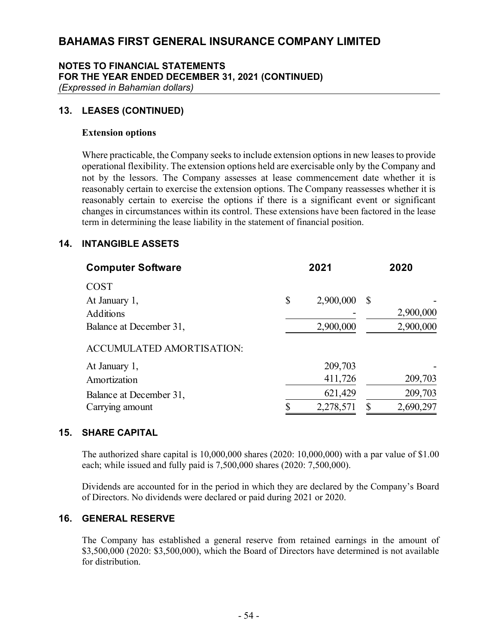### **NOTES TO FINANCIAL STATEMENTS FOR THE YEAR ENDED DECEMBER 31, 2021 (CONTINUED)** *(Expressed in Bahamian dollars)*

### **13. LEASES (CONTINUED)**

#### **Extension options**

Where practicable, the Company seeks to include extension options in new leases to provide operational flexibility. The extension options held are exercisable only by the Company and not by the lessors. The Company assesses at lease commencement date whether it is reasonably certain to exercise the extension options. The Company reassesses whether it is reasonably certain to exercise the options if there is a significant event or significant changes in circumstances within its control. These extensions have been factored in the lease term in determining the lease liability in the statement of financial position.

### **14. INTANGIBLE ASSETS**

| <b>Computer Software</b>         | 2021            | 2020 |           |  |  |  |
|----------------------------------|-----------------|------|-----------|--|--|--|
| <b>COST</b>                      |                 |      |           |  |  |  |
| At January 1,                    | \$<br>2,900,000 | S    |           |  |  |  |
| <b>Additions</b>                 |                 |      | 2,900,000 |  |  |  |
| Balance at December 31,          | 2,900,000       |      | 2,900,000 |  |  |  |
| <b>ACCUMULATED AMORTISATION:</b> |                 |      |           |  |  |  |
| At January 1,                    | 209,703         |      |           |  |  |  |
| Amortization                     | 411,726         |      | 209,703   |  |  |  |
| Balance at December 31,          | 621,429         |      | 209,703   |  |  |  |
| Carrying amount                  | 2,278,571       | \$   | 2,690,297 |  |  |  |

### **15. SHARE CAPITAL**

The authorized share capital is 10,000,000 shares (2020: 10,000,000) with a par value of \$1.00 each; while issued and fully paid is 7,500,000 shares (2020: 7,500,000).

Dividends are accounted for in the period in which they are declared by the Company's Board of Directors. No dividends were declared or paid during 2021 or 2020.

### **16. GENERAL RESERVE**

The Company has established a general reserve from retained earnings in the amount of \$3,500,000 (2020: \$3,500,000), which the Board of Directors have determined is not available for distribution.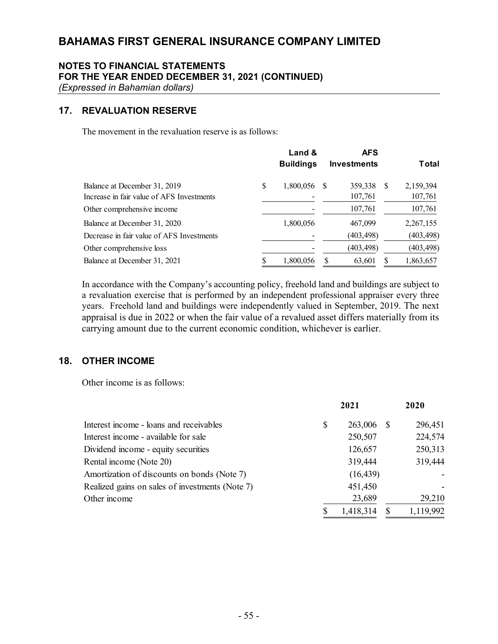# **NOTES TO FINANCIAL STATEMENTS FOR THE YEAR ENDED DECEMBER 31, 2021 (CONTINUED)**

*(Expressed in Bahamian dollars)*

### **17. REVALUATION RESERVE**

The movement in the revaluation reserve is as follows:

|                                           | Land &           | <b>AFS</b>         |    |            |
|-------------------------------------------|------------------|--------------------|----|------------|
|                                           | <b>Buildings</b> | <b>Investments</b> |    | Total      |
| Balance at December 31, 2019              | \$<br>1,800,056  | 359,338            | -S | 2,159,394  |
| Increase in fair value of AFS Investments |                  | 107,761            |    | 107,761    |
| Other comprehensive income                |                  | 107,761            |    | 107,761    |
| Balance at December 31, 2020              | 1,800,056        | 467,099            |    | 2,267,155  |
| Decrease in fair value of AFS Investments |                  | (403,498)          |    | (403, 498) |
| Other comprehensive loss                  |                  | (403,498)          |    | (403, 498) |
| Balance at December 31, 2021              | 1,800,056        | 63,601             |    | 1,863,657  |

In accordance with the Company's accounting policy, freehold land and buildings are subject to a revaluation exercise that is performed by an independent professional appraiser every three years. Freehold land and buildings were independently valued in September, 2019. The next appraisal is due in 2022 or when the fair value of a revalued asset differs materially from its carrying amount due to the current economic condition, whichever is earlier.

### **18. OTHER INCOME**

Other income is as follows:

|                                                 | 2021            |              | 2020      |
|-------------------------------------------------|-----------------|--------------|-----------|
| Interest income - loans and receivables         | \$<br>263,006   | <sup>S</sup> | 296,451   |
| Interest income - available for sale            | 250,507         |              | 224,574   |
| Dividend income - equity securities             | 126,657         |              | 250,313   |
| Rental income (Note 20)                         | 319,444         |              | 319,444   |
| Amortization of discounts on bonds (Note 7)     | (16, 439)       |              |           |
| Realized gains on sales of investments (Note 7) | 451,450         |              |           |
| Other income                                    | 23,689          |              | 29,210    |
|                                                 | \$<br>1,418,314 |              | 1,119,992 |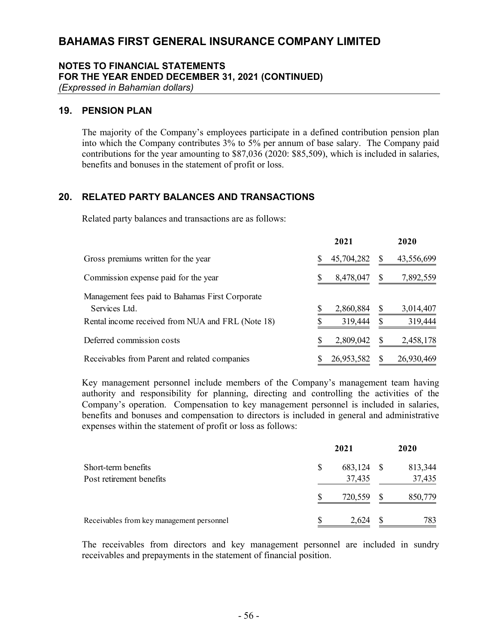### **NOTES TO FINANCIAL STATEMENTS FOR THE YEAR ENDED DECEMBER 31, 2021 (CONTINUED)** *(Expressed in Bahamian dollars)*

**19. PENSION PLAN**

The majority of the Company's employees participate in a defined contribution pension plan into which the Company contributes 3% to 5% per annum of base salary. The Company paid contributions for the year amounting to \$87,036 (2020: \$85,509), which is included in salaries, benefits and bonuses in the statement of profit or loss.

### **20. RELATED PARTY BALANCES AND TRANSACTIONS**

Related party balances and transactions are as follows:

|                                                   | 2021       | 2020           |
|---------------------------------------------------|------------|----------------|
| Gross premiums written for the year               | 45,704,282 | 43,556,699     |
| Commission expense paid for the year              | 8,478,047  | 7,892,559<br>S |
| Management fees paid to Bahamas First Corporate   |            |                |
| Services Ltd.                                     | 2,860,884  | 3,014,407      |
| Rental income received from NUA and FRL (Note 18) | 319,444    | 319,444        |
| Deferred commission costs                         | 2,809,042  | 2,458,178      |
| Receivables from Parent and related companies     | 26,953,582 | 26,930,469     |

Key management personnel include members of the Company's management team having authority and responsibility for planning, directing and controlling the activities of the Company's operation. Compensation to key management personnel is included in salaries, benefits and bonuses and compensation to directors is included in general and administrative expenses within the statement of profit or loss as follows:

|                                           |   | 2021    |              | 2020    |
|-------------------------------------------|---|---------|--------------|---------|
| Short-term benefits                       | S | 683,124 |              | 813,344 |
| Post retirement benefits                  |   | 37,435  |              | 37,435  |
|                                           |   | 720,559 | <sup>8</sup> | 850,779 |
| Receivables from key management personnel |   | 2.624   |              | 783     |

The receivables from directors and key management personnel are included in sundry receivables and prepayments in the statement of financial position.